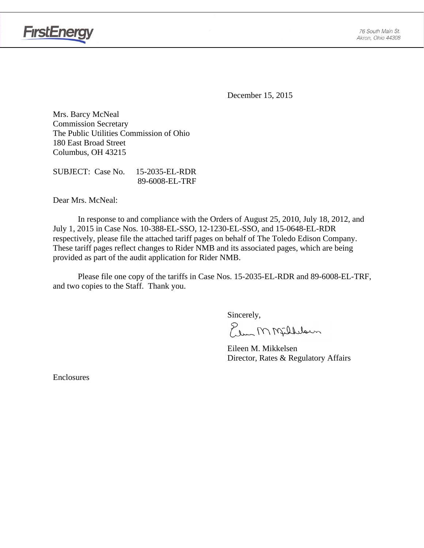

**FirstEnergy** 

December 15, 2015

Mrs. Barcy McNeal Commission Secretary The Public Utilities Commission of Ohio 180 East Broad Street Columbus, OH 43215

SUBJECT: Case No. 15-2035-EL-RDR 89-6008-EL-TRF

Dear Mrs. McNeal:

 In response to and compliance with the Orders of August 25, 2010, July 18, 2012, and July 1, 2015 in Case Nos. 10-388-EL-SSO, 12-1230-EL-SSO, and 15-0648-EL-RDR respectively, please file the attached tariff pages on behalf of The Toledo Edison Company. These tariff pages reflect changes to Rider NMB and its associated pages, which are being provided as part of the audit application for Rider NMB.

Please file one copy of the tariffs in Case Nos. 15-2035-EL-RDR and 89-6008-EL-TRF, and two copies to the Staff. Thank you.

Sincerely,

Elem M Milleloun

 Eileen M. Mikkelsen Director, Rates & Regulatory Affairs

Enclosures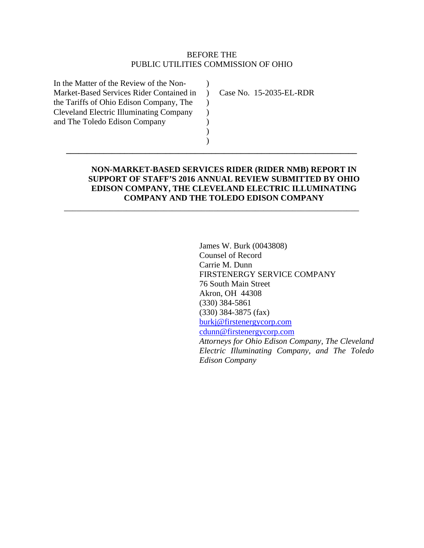## BEFORE THE PUBLIC UTILITIES COMMISSION OF OHIO

 $\lambda$  $\rightarrow$  $\mathcal{L}$  $\mathcal{L}$ ) ) )

**\_\_\_\_\_\_\_\_\_\_\_\_\_\_\_\_\_\_\_\_\_\_\_\_\_\_\_\_\_\_\_\_\_\_\_\_\_\_\_\_\_\_\_\_\_\_\_\_\_\_\_\_\_\_\_\_\_\_\_\_\_\_\_\_\_\_\_\_\_\_** 

\_\_\_\_\_\_\_\_\_\_\_\_\_\_\_\_\_\_\_\_\_\_\_\_\_\_\_\_\_\_\_\_\_\_\_\_\_\_\_\_\_\_\_\_\_\_\_\_\_\_\_\_\_\_\_\_\_\_\_\_\_\_\_\_\_\_\_\_\_\_\_

In the Matter of the Review of the Non-Market-Based Services Rider Contained in the Tariffs of Ohio Edison Company, The Cleveland Electric Illuminating Company and The Toledo Edison Company

Case No. 15-2035-EL-RDR

# **NON-MARKET-BASED SERVICES RIDER (RIDER NMB) REPORT IN SUPPORT OF STAFF'S 2016 ANNUAL REVIEW SUBMITTED BY OHIO EDISON COMPANY, THE CLEVELAND ELECTRIC ILLUMINATING COMPANY AND THE TOLEDO EDISON COMPANY**

James W. Burk (0043808) Counsel of Record Carrie M. Dunn FIRSTENERGY SERVICE COMPANY 76 South Main Street Akron, OH 44308 (330) 384-5861 (330) 384-3875 (fax) burkj@firstenergycorp.com cdunn@firstenergycorp.com *Attorneys for Ohio Edison Company, The Cleveland Electric Illuminating Company, and The Toledo Edison Company*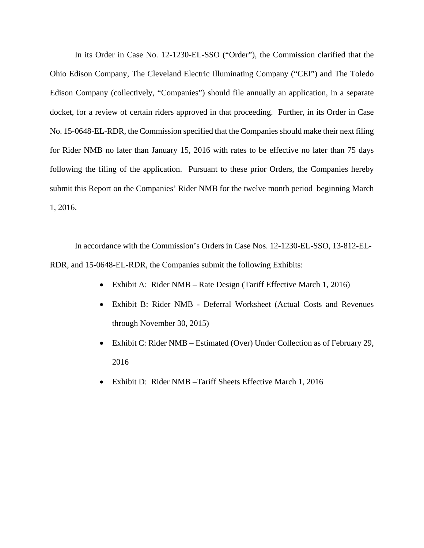In its Order in Case No. 12-1230-EL-SSO ("Order"), the Commission clarified that the Ohio Edison Company, The Cleveland Electric Illuminating Company ("CEI") and The Toledo Edison Company (collectively, "Companies") should file annually an application, in a separate docket, for a review of certain riders approved in that proceeding. Further, in its Order in Case No. 15-0648-EL-RDR, the Commission specified that the Companies should make their next filing for Rider NMB no later than January 15, 2016 with rates to be effective no later than 75 days following the filing of the application. Pursuant to these prior Orders, the Companies hereby submit this Report on the Companies' Rider NMB for the twelve month period beginning March 1, 2016.

In accordance with the Commission's Orders in Case Nos. 12-1230-EL-SSO, 13-812-EL-RDR, and 15-0648-EL-RDR, the Companies submit the following Exhibits:

- Exhibit A: Rider NMB Rate Design (Tariff Effective March 1, 2016)
- Exhibit B: Rider NMB Deferral Worksheet (Actual Costs and Revenues through November 30, 2015)
- Exhibit C: Rider NMB Estimated (Over) Under Collection as of February 29, 2016
- Exhibit D: Rider NMB –Tariff Sheets Effective March 1, 2016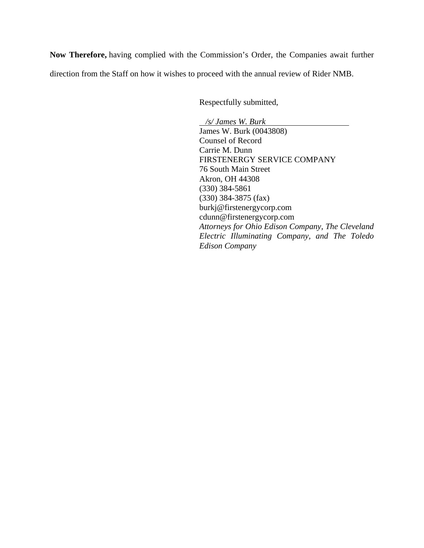**Now Therefore,** having complied with the Commission's Order, the Companies await further direction from the Staff on how it wishes to proceed with the annual review of Rider NMB.

Respectfully submitted,

 */s/ James W. Burk*  James W. Burk (0043808) Counsel of Record Carrie M. Dunn FIRSTENERGY SERVICE COMPANY 76 South Main Street Akron, OH 44308 (330) 384-5861 (330) 384-3875 (fax) burkj@firstenergycorp.com cdunn@firstenergycorp.com *Attorneys for Ohio Edison Company, The Cleveland Electric Illuminating Company, and The Toledo Edison Company*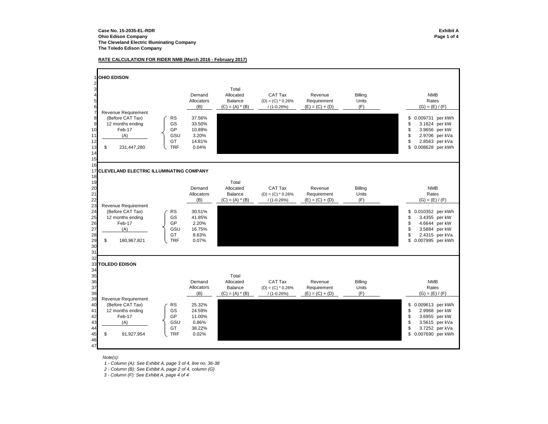#### **RATE CALCULATION FOR RIDER NMB (March 2016 - February 2017)**

1 **OHIO EDISON**23 I September 2006 and the second second second second second second second second second second second second 4 Demand Allocated CAT Tax Revenue Billing 5Allocators Balance  $(D) = (C)^* 0.26\%$  Requirement Units<br>
(B)  $(C) = (A)^* (B)$   $/(1-0.26\%)$   $(E) = (C) + (D)$   $(F)$ 6 $(E) = (C) + (D)$ Revenue Requirement 8 (Before CAT Tax) (RS 37.56% \$ per kWh 0.009731 per kWh 0.009731 per kWh 0.009731 per kWh 0.009731 per kWh 0.<br>12 months ending (GS 33.50% ) 3.5624 per kW 9 12 months ending | GS 33.50% \$ 3.1624 per kW 10 Feb-17 GP 10.89%\$ 3.9656 per kW<br>\$ 2.9706 per kVa 11 (A) GSU 3.20% \$ per kVa 2.9706 12GT 14.81% \$ 2.8563 per kVa 13 \$ 231,447,280  $\begin{array}{ccc} \downarrow \text{TF} & 0.04\% \end{array}$  121  $\begin{array}{ccc} \downarrow \end{array}$  13  $\begin{array}{ccc} \downarrow \end{array}$  0.008628 per kWh 14 1516 17 **CLEVELAND ELECTRIC ILLUMINATING COMPANY**18 199 Total 200**0** Demand Allocated CAT Tax Revenue Billing 21Allocators Balance (D) = (C) \* 0.26% Requirement Units 222 (B) (C) = (A) \* (B) / (1-0.26%) (E) = (C) + (D) (F) 23 Revenue Requirement<br>24 (Before CAT Tax) 24 (Before CAT Tax) RS 30.51% \$ per kWh 0.010352 25 12 months ending GS 41.85% \$ per kW 3.4355 26 Feb-17 GP 2.20%\$ 4.6644 per kW 27 (A) GSU 16.75% \$ per kW 3.5884 28 GT 8.63%\$ 2.4315 per kVa 29 \$180,967,821 URF 0.07% \$0.007995 per kWh 30 31 32 33 **TOLEDO EDISON**34 35 Total 36 Demand Allocated CAT Tax Revenue Billing 37Allocators Balance  $(D) = (C)^* 0.26\%$  Requirement Units<br>
(B)  $(C) = (A)^* (B)$   $/(1-0.26\%)$   $(E) = (C) + (D)$   $(F)$ 3838<br>
Revenue Requirement (B) (C) = (A) \* (B) / (1-0.26%) (E) = (C) + (D)<br>
39<br>
Revenue Requirement 39 Revenue Requirement<br>40 (Before CAT Tax) (Before CAT Tax) RS 25.32% 80.009613 per kWh 0.009613 per kWh 0.009613 per kWh 0.009613 per kWh 0.0009613 per kWh 0.0009613 per kWh 0.0009613 per kWh 0.0009613 per kWh 0.0009613 per kWh 0.0009613 per kWh 0.0009613 41 12 months ending GS 24.59% \$ per kW 2.9968 42 Feb-17 GP 11.00%\$ 3.6955 per kW 43 (A) GSU 0.86% \$ per kVa 3.5615 44 GT 38.22%\$ 3.7252 per kVa 45\$ 91,927,954  $\begin{bmatrix} \text{TF} & 0.02\% \end{bmatrix}$ 46 47NMBRates  $(G) = (E) / (F)$ NMB Rates $(G) = (E) / (F)$ Rates NMB $(G) = (E) / (F)$ 

*Note(s):*

*1 - Column (A): See Exhibit A, page 3 of 4, line no. 36-38*

*2 - Column (B): See Exhibit A, page 2 of 4, column (G)* 

 *3 - Column (F): See Exhibit A, page 4 of 4*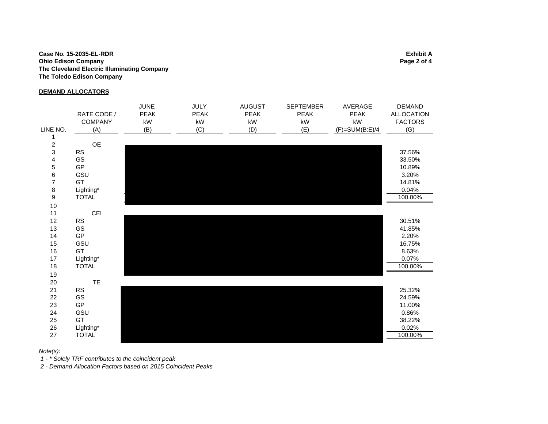#### **Case No. 15-2035-EL-RDR Exhibit A Ohio Edison Company Page 2 of 4 The Cleveland Electric Illuminating Company The Toledo Edison Company**

#### **DEMAND ALLOCATORS**

|                  | RATE CODE /<br><b>COMPANY</b> | <b>JUNE</b><br><b>PEAK</b><br>kW | <b>JULY</b><br><b>PEAK</b><br>$\mathsf{k}\mathsf{W}$ | <b>AUGUST</b><br><b>PEAK</b><br>$\mathsf{k}\mathsf{W}$ | <b>SEPTEMBER</b><br><b>PEAK</b><br>kW | AVERAGE<br><b>PEAK</b><br>$\mathsf{k}\mathsf{W}$ | <b>DEMAND</b><br><b>ALLOCATION</b><br><b>FACTORS</b> |
|------------------|-------------------------------|----------------------------------|------------------------------------------------------|--------------------------------------------------------|---------------------------------------|--------------------------------------------------|------------------------------------------------------|
| LINE NO.         | (A)                           | (B)                              | (C)                                                  | (D)                                                    | (E)                                   | $(F)=SUM(B:E)/4$                                 | (G)                                                  |
| 1                |                               |                                  |                                                      |                                                        |                                       |                                                  |                                                      |
| $\overline{c}$   | OE                            |                                  |                                                      |                                                        |                                       |                                                  |                                                      |
| 3                | <b>RS</b>                     |                                  |                                                      |                                                        |                                       |                                                  | 37.56%                                               |
| 4                | GS                            |                                  |                                                      |                                                        |                                       |                                                  | 33.50%                                               |
| 5                | GP                            |                                  |                                                      |                                                        |                                       |                                                  | 10.89%                                               |
| 6                | GSU                           |                                  |                                                      |                                                        |                                       |                                                  | 3.20%                                                |
| $\overline{7}$   | GT                            |                                  |                                                      |                                                        |                                       |                                                  | 14.81%                                               |
| $\,8\,$          | Lighting*                     |                                  |                                                      |                                                        |                                       |                                                  | 0.04%                                                |
| $\boldsymbol{9}$ | <b>TOTAL</b>                  |                                  |                                                      |                                                        |                                       |                                                  | 100.00%                                              |
| 10               |                               |                                  |                                                      |                                                        |                                       |                                                  |                                                      |
| 11               | CEI                           |                                  |                                                      |                                                        |                                       |                                                  |                                                      |
| 12               | RS                            |                                  |                                                      |                                                        |                                       |                                                  | 30.51%                                               |
| 13               | GS                            |                                  |                                                      |                                                        |                                       |                                                  | 41.85%                                               |
| 14               | GP                            |                                  |                                                      |                                                        |                                       |                                                  | 2.20%                                                |
| 15               | GSU                           |                                  |                                                      |                                                        |                                       |                                                  | 16.75%                                               |
| 16               | GT                            |                                  |                                                      |                                                        |                                       |                                                  | 8.63%                                                |
| 17               | Lighting*                     |                                  |                                                      |                                                        |                                       |                                                  | 0.07%                                                |
| 18               | <b>TOTAL</b>                  |                                  |                                                      |                                                        |                                       |                                                  | 100.00%                                              |
| 19               |                               |                                  |                                                      |                                                        |                                       |                                                  |                                                      |
| $20\,$           | <b>TE</b>                     |                                  |                                                      |                                                        |                                       |                                                  |                                                      |
| 21               | <b>RS</b>                     |                                  |                                                      |                                                        |                                       |                                                  | 25.32%                                               |
| 22               | GS                            |                                  |                                                      |                                                        |                                       |                                                  | 24.59%                                               |
| 23               | GP                            |                                  |                                                      |                                                        |                                       |                                                  | 11.00%                                               |
| 24               | GSU                           |                                  |                                                      |                                                        |                                       |                                                  | 0.86%                                                |
| 25               | GT                            |                                  |                                                      |                                                        |                                       |                                                  | 38.22%                                               |
| 26               | Lighting*                     |                                  |                                                      |                                                        |                                       |                                                  | 0.02%                                                |
| 27               | <b>TOTAL</b>                  |                                  |                                                      |                                                        |                                       |                                                  | 100.00%                                              |

*Note(s):*

 *1 - \* Solely TRF contributes to the coincident peak*

 *2 - Demand Allocation Factors based on 2015 Coincident Peaks*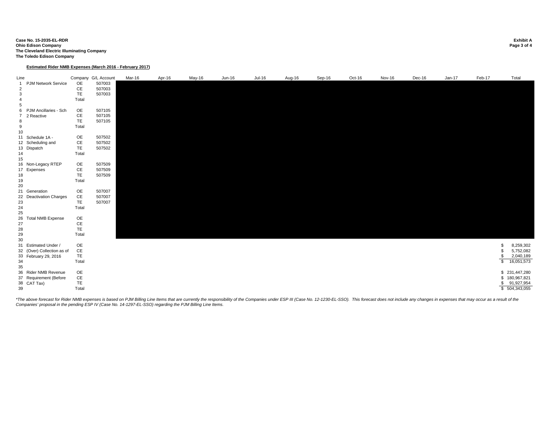**Case No. 15-2035-EL-RDR Exhibit A Ohio Edison Company Page 3 of 4 The Cleveland Electric Illuminating Company The Toledo Edison Company**

**Estimated Rider NMB Expenses (March 2016 - February 2017)**

| Line                                                         |                                                                            |                                    | Company G/L Account        | Mar-16 | Apr-16 | May-16 | $Jun-16$ | $Jul-16$ | Aug-16 | Sep-16 | Oct-16 | Nov-16 | Dec-16 | $Jan-17$ | Feb-17               | Total                                                         |
|--------------------------------------------------------------|----------------------------------------------------------------------------|------------------------------------|----------------------------|--------|--------|--------|----------|----------|--------|--------|--------|--------|--------|----------|----------------------|---------------------------------------------------------------|
| $\overline{1}$<br>$\overline{2}$<br>3<br>$\overline{4}$<br>5 | <b>PJM Network Service</b>                                                 | OE<br>CE<br>TE<br>Total            | 507003<br>507003<br>507003 |        |        |        |          |          |        |        |        |        |        |          |                      |                                                               |
| $\overline{7}$<br>8<br>9                                     | 6 PJM Ancillaries - Sch<br>2 Reactive                                      | OE<br>CE<br><b>TE</b><br>Total     | 507105<br>507105<br>507105 |        |        |        |          |          |        |        |        |        |        |          |                      |                                                               |
| 10<br>14<br>15                                               | 11 Schedule 1A -<br>12 Scheduling and<br>13 Dispatch                       | OE<br>CE<br>TE<br>Total            | 507502<br>507502<br>507502 |        |        |        |          |          |        |        |        |        |        |          |                      |                                                               |
| 18<br>19<br>20                                               | 16 Non-Legacy RTEP<br>17 Expenses                                          | OE<br>CE<br>TE<br>Total            | 507509<br>507509<br>507509 |        |        |        |          |          |        |        |        |        |        |          |                      |                                                               |
| 23<br>24<br>25                                               | 21 Generation<br>22 Deactivation Charges                                   | OE<br>$\mathsf{CE}$<br>TE<br>Total | 507007<br>507007<br>507007 |        |        |        |          |          |        |        |        |        |        |          |                      |                                                               |
| 26<br>27<br>28<br>29<br>30                                   | <b>Total NMB Expense</b>                                                   | OE<br>CE<br><b>TE</b><br>Total     |                            |        |        |        |          |          |        |        |        |        |        |          |                      |                                                               |
| 34<br>35                                                     | 31 Estimated Under /<br>32 (Over) Collection as of<br>33 February 29, 2016 | OE<br>CE<br>TE<br>Total            |                            |        |        |        |          |          |        |        |        |        |        |          | \$<br>\$<br>\$<br>\$ | 8,259,302<br>5,752,082<br>2,040,189<br>16,051,573             |
| 39                                                           | 36 Rider NMB Revenue<br>37 Requirement (Before<br>38 CAT Tax)              | OE<br>$\mathsf{CE}$<br>TE<br>Total |                            |        |        |        |          |          |        |        |        |        |        |          | \$                   | \$231,447,280<br>\$180,967,821<br>91,927,954<br>\$504,343,055 |

\*The above forecast for Rider NMB expenses is based on PJM Billing Line Items that are currently the responsibility of the Companies under ESP III (Case No. 12-1230-EL-SSO). This forecast does not include any changes in ex *Companies' proposal in the pending ESP IV (Case No. 14-1297-EL-SSO) regarding the PJM Billing Line Items.*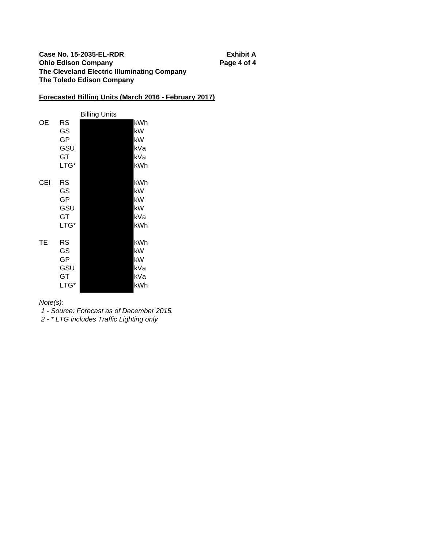## **Case No. 15-2035-EL-RDR Exhibit A Ohio Edison Company Page 4 of 4 The Cleveland Electric Illuminating Company The Toledo Edison Company**

# **Forecasted Billing Units (March 2016 - February 2017)**

|     |                                     | <b>Billing Units</b> |                                      |
|-----|-------------------------------------|----------------------|--------------------------------------|
| ОE  | RS<br>GS<br>GP<br>GSU<br>GТ<br>LTG* |                      | kWh<br>kW<br>kW<br>kVa<br>kVa<br>kWh |
| CEI | RS<br>GS<br>GP<br>GSU<br>GT<br>LTG* |                      | kWh<br>kW<br>kW<br>kW<br>kVa<br>kWh  |
| ТE  | RS<br>GS<br>GP<br>GSU<br>GT<br>LTG* |                      | kWh<br>kW<br>kW<br>kVa<br>kVa<br>kWh |

*Note(s):*

 *1 - Source: Forecast as of December 2015.*

 *2 - \* LTG includes Traffic Lighting only*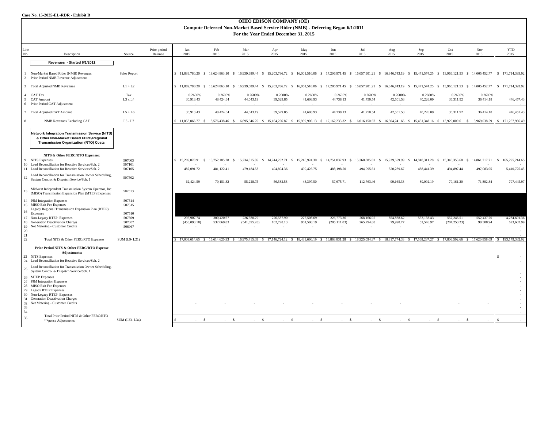|                    | <b>OHIO EDISON COMPANY (OE)</b><br>Compute Deferred Non-Market Based Service Rider (NMB) - Deferring Began 6/1/2011<br>For the Year Ended December 31, 2015                                                        |                            |                         |                                          |                                                                                                                                                                                            |                         |                               |                      |                         |                      |                       |                               |                         |                      |                                                                                                                                                                                                              |
|--------------------|--------------------------------------------------------------------------------------------------------------------------------------------------------------------------------------------------------------------|----------------------------|-------------------------|------------------------------------------|--------------------------------------------------------------------------------------------------------------------------------------------------------------------------------------------|-------------------------|-------------------------------|----------------------|-------------------------|----------------------|-----------------------|-------------------------------|-------------------------|----------------------|--------------------------------------------------------------------------------------------------------------------------------------------------------------------------------------------------------------|
| Line<br>No.        | Description                                                                                                                                                                                                        | Source                     | Prior period<br>Balance | Jan<br>2015                              | Feb<br>2015                                                                                                                                                                                | Mar<br>2015             | Apr<br>2015                   | May<br>2015          | Jun<br>2015             | Jul<br>2015          | Aug<br>2015           | Sep<br>2015                   | Oct<br>2015             | Nov<br>2015          | <b>YTD</b><br>2015                                                                                                                                                                                           |
|                    | Revenues - Started 6/1/2011                                                                                                                                                                                        |                            |                         |                                          |                                                                                                                                                                                            |                         |                               |                      |                         |                      |                       |                               |                         |                      |                                                                                                                                                                                                              |
| $\overline{2}$     | Non-Market Based Rider (NMB) Revenues<br>Prior Period NMB Revenue Adjustment                                                                                                                                       | Sales Report               |                         |                                          |                                                                                                                                                                                            |                         |                               |                      |                         |                      |                       |                               |                         |                      | \$11,889,780.20 \$18,624,863.10 \$16,939,689.44 \$15,203,786.72 \$16,001,510.06 \$17,206,971.45 \$16,057,901.21 \$16,346,743.19 \$15,471,574.25 \$13,966,121.53 \$14,005,452.77 \$171,714,393.92             |
|                    | 3 Total Adjusted NMB Revenues                                                                                                                                                                                      | $L1 + L2$                  |                         |                                          | \$11,889,780.20 \$18,624,863.10 \$                                                                                                                                                         |                         |                               |                      |                         |                      |                       |                               |                         |                      | 16,939,689.44 \$ 15,203,786.72 \$ 16,001,510.06 \$ 17,206,971.45 \$ 16,057,901.21 \$ 16,346,743.19 \$ 15,471,574.25 \$ 13,966,121.53 \$ 14,005,452.77 \$ 171,714,393.92                                      |
| 5                  | 4 CAT Tax<br><b>CAT Amount</b><br>6 Prior Period CAT Adjustment                                                                                                                                                    | Tax<br>L3 x L4             |                         | 0.2600%<br>30,913.43                     | 0.2600%<br>48,424.64                                                                                                                                                                       | 0.2600%<br>44,043.19    | 0.2600%<br>39,529.85          | 0.2600%<br>41,603.93 | 0.2600%<br>44,738.13    | 0.2600%<br>41,750.54 | 0.2600%<br>42,501.53  | 0.2600%<br>40,226.09          | 0.2600%<br>36,311.92    | 0.2600%<br>36,414.18 | 446,457.43                                                                                                                                                                                                   |
|                    | 7 Total Adjusted CAT Amount                                                                                                                                                                                        | $L5+L6$                    |                         | 30,913.43                                | 48,424.64                                                                                                                                                                                  | 44,043.19               | 39,529.85                     | 41,603.93            | 44,738.13               | 41,750.54            | 42,501.53             | 40,226.09                     | 36,311.92               | 36,414.18            | 446,457.43                                                                                                                                                                                                   |
| $\mathbf{\hat{x}}$ | <b>NMB</b> Revenues Excluding CAT                                                                                                                                                                                  | $L3 - L7$                  |                         |                                          |                                                                                                                                                                                            |                         |                               |                      |                         |                      |                       |                               |                         |                      | \$ 11,858,866.77 \$ 18,576,438.46 \$ 16,895,646.25 \$ 15,164,256.87 \$ 15,959,906.13 \$ 17,162,233.32 \$ 16,016,150.67 \$ 16,304,241.66 \$ 15,431,348.16 \$ 13,929,809.61 \$ 13,969,038.59 \$ 171,267,936.49 |
|                    | <b>Network Integration Transmission Service (NITS)</b><br>& Other Non-Market Based FERC/Regional<br><b>Transmission Organization (RTO) Costs</b>                                                                   |                            |                         |                                          |                                                                                                                                                                                            |                         |                               |                      |                         |                      |                       |                               |                         |                      |                                                                                                                                                                                                              |
| $\mathbf{Q}$       | NITS & Other FERC/RTO Expenses:<br><b>NITS Expenses</b>                                                                                                                                                            | 507003                     |                         | \$15,209,070.91                          | 13,752,185.28 \$<br>$\mathbf{s}$                                                                                                                                                           | 15,234,815.85 \$        | 14,744,252.71<br>$\mathbf{s}$ | 15,246,924.30 \$     | 14,751,037.93           | \$15,360,885.01      | 15,939,659.99<br>- \$ | 14,848,311.28<br>$\mathbf{s}$ | 15,346,353.68 \$<br>-S. |                      | 14,861,717.71 \$ 165,295,214.65                                                                                                                                                                              |
|                    | 10 Load Reconciliation for Reactive Services/Sch. 2<br>11 Load Reconciliation for Reactive Services/Sch. 2                                                                                                         | 507101<br>507105           |                         | 482,091.72                               | 481,122.41                                                                                                                                                                                 | 479,184.53              | 494,894.36                    | 490,426.75           | 488,198.50              | 494,095.61           | 520,289.67            | 488,441.39                    | 494,897.44              | 497,083.05           | 5,410,725.43                                                                                                                                                                                                 |
| 12                 | Load Reconciliation for Transmission Owner Scheduling,<br>System Control & Dispatch Service/Sch. 1                                                                                                                 | 507502                     |                         | 62,424.59                                | 70,151.82                                                                                                                                                                                  | 55,228.75               | 56,582.58                     | 43,397.50            | 57,675.71               | 112,763.46           | 99,165.33             | 89,092.19                     | 79,161.20               | 71,802.84            | 797,445.97                                                                                                                                                                                                   |
| 13                 | Midwest Independent Transmission System Operator, Inc.<br>(MISO) Transmission Expansion Plan (MTEP) Expenses                                                                                                       | 507513                     |                         |                                          |                                                                                                                                                                                            |                         |                               |                      |                         |                      |                       |                               |                         |                      |                                                                                                                                                                                                              |
| 16                 | 14 PJM Integration Expenses<br>15 MISO Exit Fee Expenses<br>Legacy Regional Transmission Expansion Plan (RTEP)<br>Expenses                                                                                         | 507514<br>507515<br>507510 |                         |                                          |                                                                                                                                                                                            |                         |                               |                      |                         |                      |                       |                               |                         |                      |                                                                                                                                                                                                              |
|                    | 17 Non-Legacy RTEP Expenses                                                                                                                                                                                        | 507509                     |                         | 296,907.74                               | 300,420.67                                                                                                                                                                                 | 226,580.79              | 226,587.90                    | 226,508.69           | 226,773.36              | 268,166.95           | 854,838.62            | 553,133.43                    | 552,245.51              | 552,437.70           | 4,284,601.36                                                                                                                                                                                                 |
|                    | 18 Generation Deactivation Charges<br>19 Net Metering - Customer Credits                                                                                                                                           | 507007<br>506967           |                         | (458,093.18)<br>$\overline{\phantom{a}}$ | 532,069.83<br>$\sim$                                                                                                                                                                       | (541, 895.28)<br>$\sim$ | 102,728.13<br>$\sim$          | 901,508.19           | (205, 111.03)<br>$\sim$ | 265,794.88<br>$\sim$ | 79,998.77<br>$\sim$   | 52,546.97<br>$\sim$           | (204, 253.23)<br>$\sim$ | 98,308.94            | 623,602.99                                                                                                                                                                                                   |
| 20<br>21           |                                                                                                                                                                                                                    |                            |                         |                                          |                                                                                                                                                                                            |                         |                               |                      |                         |                      |                       |                               |                         |                      |                                                                                                                                                                                                              |
| 22                 | Total NITS & Other FERC/RTO Expenses                                                                                                                                                                               | SUM (L9-L21)               |                         |                                          | \$ 17,008,614.65 \$ 16,614,620.93 \$ 16,975,415.03 \$ 17,146,724.12 \$ 18,431,660.19 \$ 16,863,831.28 \$ 18,325,094.37 \$ 18,817,774.33 \$ 17,568,287.27 \$ 17,806,502.66 \$ 17,620,858.09 |                         |                               |                      |                         |                      |                       |                               |                         |                      | \$193,179,382.92                                                                                                                                                                                             |
|                    | Prior Period NITS & Other FERC/RTO Expense<br><b>Adjustments:</b><br>23 NITS Expenses                                                                                                                              |                            |                         |                                          |                                                                                                                                                                                            |                         |                               |                      |                         |                      |                       |                               |                         |                      | s.                                                                                                                                                                                                           |
|                    | 24 Load Reconciliation for Reactive Services/Sch. 2                                                                                                                                                                |                            |                         |                                          |                                                                                                                                                                                            |                         |                               |                      |                         |                      |                       |                               |                         |                      |                                                                                                                                                                                                              |
| 25                 | Load Reconciliation for Transmission Owner Scheduling,<br>System Control & Dispatch Service/Sch. 1                                                                                                                 |                            |                         |                                          |                                                                                                                                                                                            |                         |                               |                      |                         |                      |                       |                               |                         |                      |                                                                                                                                                                                                              |
|                    | 26 MTEP Expenses<br>27 PJM Integration Expenses<br>28 MISO Exit Fee Expenses<br>29 Legacy RTEP Expenses<br>30 Non-Legacy RTEP Expenses<br>31 Generation Deactivation Charges<br>32 Net Metering - Customer Credits |                            |                         |                                          |                                                                                                                                                                                            |                         |                               |                      |                         |                      |                       |                               |                         |                      |                                                                                                                                                                                                              |
| 33<br>34           |                                                                                                                                                                                                                    |                            |                         |                                          |                                                                                                                                                                                            |                         |                               |                      |                         |                      |                       |                               |                         |                      |                                                                                                                                                                                                              |
| 35                 | Total Prior Period NITS & Other FERC/RTO<br><b>Expense Adjustments</b>                                                                                                                                             | SUM (L23-L34)              |                         |                                          | $\mathcal{S}$<br>$\mathcal{S}$                                                                                                                                                             |                         |                               | s.                   | - 5                     |                      | $\mathbf{\hat{s}}$    | $\mathcal{S}$                 |                         |                      |                                                                                                                                                                                                              |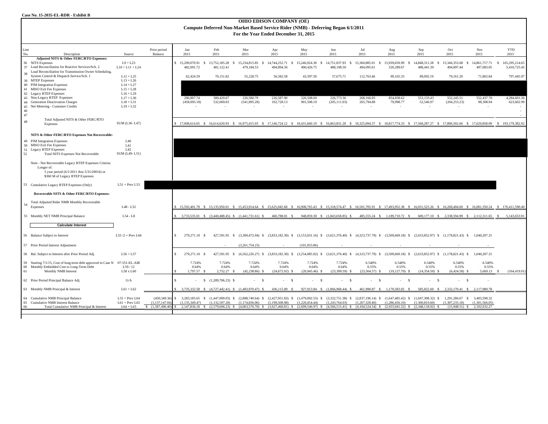| <b>OHIO EDISON COMPANY (OE)</b><br>Compute Deferred Non-Market Based Service Rider (NMB) - Deferring Began 6/1/2011<br>For the Year Ended December 31, 2015 |                                                                                                                                                                               |                                                     |                                                      |                                             |                                                     |                                             |                                                           |                                     |                                                                               |                                     |                                                                                                                                                                                         |                                                                        |                                               |                                                                 |                                       |
|-------------------------------------------------------------------------------------------------------------------------------------------------------------|-------------------------------------------------------------------------------------------------------------------------------------------------------------------------------|-----------------------------------------------------|------------------------------------------------------|---------------------------------------------|-----------------------------------------------------|---------------------------------------------|-----------------------------------------------------------|-------------------------------------|-------------------------------------------------------------------------------|-------------------------------------|-----------------------------------------------------------------------------------------------------------------------------------------------------------------------------------------|------------------------------------------------------------------------|-----------------------------------------------|-----------------------------------------------------------------|---------------------------------------|
| Line<br>No.                                                                                                                                                 | Description                                                                                                                                                                   | Source                                              | Prior period<br>Balance                              | Jan<br>2015                                 | Feb<br>2015                                         | Mar<br>2015                                 | Apr<br>2015                                               | May<br>2015                         | Jun<br>2015                                                                   | Jul<br>2015                         | Aug<br>2015                                                                                                                                                                             | Sep<br>2015                                                            | Oct<br>2015                                   | Nov<br>2015                                                     | <b>YTD</b><br>2015                    |
|                                                                                                                                                             | Adjusted NITS & Other FERC/RTO Expenses:<br>36 NITS Expenses<br>37 Load Reconciliation for Reactive Services/Sch. 2<br>Load Reconciliation for Transmission Owner Scheduling, | $L9 + L23$<br>$L10 + L11 + L24$                     |                                                      | 15,209,070.91 \$<br>482.091.72              | 13,752,185.28 \$<br>481,122.41                      | 15,234,815.85<br>$\mathsf{s}$<br>479,184.53 | 14,744,252.71<br>$\mathbf{s}$<br>494,894.36               | 15,246,924.30<br>- S<br>490,426.75  | 14,751,037.93<br>-S<br>488,198.50                                             | 15,360,885.01 \$<br>494,095.61      | 15,939,659.99 \$<br>520,289.67                                                                                                                                                          | 14,848,311.28<br>-S<br>488,441.39                                      | 15,346,353.68<br>- \$<br>494,897.44           | 14,861,717.71<br>497,083.05                                     | 165,295,214.65<br>- S<br>5,410,725.43 |
| 38                                                                                                                                                          | System Control & Dispatch Service/Sch. 1<br>39 MTEP Expenses<br>40 PJM Integration Expenses                                                                                   | $L12 + L25$<br>$L13 + L26$<br>$L14 + L27$           |                                                      | 62.424.59                                   | 70,151.82                                           | 55.228.75                                   | 56,582.58                                                 | 43,397.50                           | 57,675.71                                                                     | 112,763.46                          | 99,165.33                                                                                                                                                                               | 89,092.19                                                              | 79,161.20                                     | 71,802.84                                                       | 797,445.97                            |
|                                                                                                                                                             | 41 MISO Exit Fee Expenses<br>42 Legacy RTEP Expenses<br>43 Non-Legacy RTEP Expenses                                                                                           | $L15 + L28$<br>$L16 + L29$<br>$L17 + L30$           |                                                      | 296,907.74                                  | 300,420.67                                          | 226,580.79                                  | 226,587.90                                                | 226,508.69                          | 226,773.36                                                                    | 268,166.95                          | 854,838.62                                                                                                                                                                              | 553,133.43                                                             | 552,245.51                                    | 552,437.70                                                      | 4,284,601.36                          |
| 46                                                                                                                                                          | 44 Generation Deactivation Charges<br>45 Net Metering - Customer Credits                                                                                                      | $L18 + L31$<br>$L19 + L32$                          |                                                      | (458,093.18)                                | 532,069.83<br>$\sim$                                | (541, 895.28)<br>$\sim$                     | 102,728.13<br>$\sim$                                      | 901,508.19                          | (205, 111.03)<br>$\sim$                                                       | 265,794.88<br>$\sim$                | 79,998.77<br>$\sim$                                                                                                                                                                     | 52,546.97<br>$\sim$                                                    | (204, 253.23)<br>$\sim$                       | 98,308.94<br>$\sim$                                             | 623,602.99                            |
| 47<br>48                                                                                                                                                    | Total Adjusted NITS & Other FERC/RTO<br>Expenses                                                                                                                              | SUM (L36-L47)                                       |                                                      |                                             |                                                     |                                             |                                                           |                                     |                                                                               |                                     | 17,008,614.65 \$ 16,614,620.93 \$ 16,975,415.03 \$ 17,146,724.12 \$ 18,431,660.19 \$ 16,863,831.28 \$ 18,325,094.37 \$ 18,817,774.33 \$ 17,568,287.27 \$ 17,806,502.66 \$ 17,620,858.09 |                                                                        |                                               |                                                                 | \$193,179,382.92                      |
|                                                                                                                                                             | NITS & Other FERC/RTO Expenses Not Recoverable:                                                                                                                               |                                                     |                                                      |                                             |                                                     |                                             |                                                           |                                     |                                                                               |                                     |                                                                                                                                                                                         |                                                                        |                                               |                                                                 |                                       |
| 52                                                                                                                                                          | 49 PJM Integration Expenses<br>50 MISO Exit Fee Expenses<br>51 Legacy RTEP Expenses<br>Total NITS Expenses Not Recoverable                                                    | L40<br>L41<br>L42<br>SUM (L49-L51)                  |                                                      |                                             |                                                     |                                             |                                                           |                                     |                                                                               |                                     |                                                                                                                                                                                         |                                                                        |                                               |                                                                 |                                       |
|                                                                                                                                                             | Note - Not Recoverable Legacy RTEP Expenses Criteria:<br>Longer of:<br>5 year period (6/1/2011 thru 5/31/20016) or<br>\$360 M of Legacy RTEP Expenses                         |                                                     |                                                      |                                             |                                                     |                                             |                                                           |                                     |                                                                               |                                     |                                                                                                                                                                                         |                                                                        |                                               |                                                                 |                                       |
|                                                                                                                                                             | 53 Cumulative Legacy RTEP Expenses (Only)                                                                                                                                     | $L51 + Prev L53$                                    |                                                      |                                             |                                                     |                                             |                                                           |                                     |                                                                               |                                     |                                                                                                                                                                                         |                                                                        |                                               |                                                                 |                                       |
|                                                                                                                                                             | Recoverable NITS & Other FERC/RTO Expenses:<br>Total Adjusted Rider NMB Monthly Recoverable                                                                                   |                                                     |                                                      |                                             |                                                     |                                             |                                                           |                                     |                                                                               |                                     |                                                                                                                                                                                         |                                                                        |                                               |                                                                 |                                       |
| 54                                                                                                                                                          | Expenses                                                                                                                                                                      | L48 - L52                                           |                                                      |                                             |                                                     |                                             |                                                           |                                     |                                                                               |                                     | 15,592,401.78 \$ 15,135,950.01 \$ 15,453,914.64 \$ 15,625,045.68 \$ 16,908,765.43 \$ 15,318,574.47 \$ 16,501,705.91 \$ 17,493,952.38 \$ 16,031,525.26 \$ 16,268,404.60 \$ 16,081,350.24 |                                                                        |                                               |                                                                 | \$176,411,590.40                      |
|                                                                                                                                                             | 55 Monthly NET NMB Principal Balance                                                                                                                                          | $L54 - L8$                                          |                                                      |                                             | 3,733,535.01 \$ (3,440,488.45) \$ (1,441,731.61) \$ |                                             | 460,788.81 \$                                             |                                     | 948,859.30 \$ (1,843,658.85) \$                                               |                                     | 485,555.24 \$ 1,189,710.72 \$                                                                                                                                                           |                                                                        | 600,177.10 \$ 2,338,594.99 \$ 2,112,311.65 \$ |                                                                 | 5,143,653.91                          |
|                                                                                                                                                             | <b>Calculate Interest</b><br>56 Balance Subject to Interest                                                                                                                   | L55 $/2$ + Prev L66                                 |                                                      | 279.271.10 \$                               | 427.591.95 \$                                       |                                             |                                                           |                                     |                                                                               |                                     | $(3,300,472.04)$ \$ $(3,833,182.30)$ \$ $(3,153,031.16)$ \$ $(3,621,376.40)$ \$ $(4,323,737.79)$ \$ $(3,509,669.18)$ \$ $(2,633,852.97)$ \$ $(1,178,821.43)$ \$ 1,040,207.31            |                                                                        |                                               |                                                                 |                                       |
|                                                                                                                                                             | 57 Prior Period Interest Adjustment                                                                                                                                           |                                                     |                                                      |                                             |                                                     | (3.261.754.23)                              |                                                           | (101.053.86)                        |                                                                               |                                     |                                                                                                                                                                                         |                                                                        |                                               |                                                                 |                                       |
|                                                                                                                                                             | 58 Bal. Subject to Interest after Prior Period Adj.                                                                                                                           | $L56 + L57$                                         |                                                      | 279,271.10 \$<br>\$.                        | 427,591.95 \$                                       | $(6,562,226.27)$ \$                         | $(3,833,182.30)$ \$                                       |                                     |                                                                               |                                     | $(3,254,085.02)$ \$ $(3,621,376.40)$ \$ $(4,323,737.79)$ \$ $(3,509,669.18)$ \$                                                                                                         |                                                                        | $(2,633,852.97)$ \$ $(1,178,821.43)$ \$       | 1,040,207.31                                                    |                                       |
| 60<br>61                                                                                                                                                    | 59 Starting 7/1/15, Cost of long-term debt approved in Case N 07-551-EL-AIR<br>Monthly Embedded Cost to Long-Term Debt<br>Monthly NMB Interest                                | L59 / 12<br>L58 x L60                               |                                                      | 7.724%<br>0.64%<br>1.797.57 \$              | 7.724%<br>0.64%<br>$2.752.27$ \$                    | 7.724%<br>0.64%<br>$(42, 238, 86)$ S        | 7.724%<br>0.64%<br>$(24.672.92)$ \$                       | 7.724%<br>0.64%<br>$(20.945.46)$ \$ | 7.724%<br>0.64%<br>$(23.309.59)$ S                                            | 6.540%<br>0.55%<br>$(23.564.37)$ \$ | 6.540%<br>0.55%<br>$(19.127.70)$ \$                                                                                                                                                     | 6.540%<br>0.55%<br>$(14.354.50)$ S                                     | 6.540%<br>0.55%<br>$(6.424.58)$ \$            | 6.540%<br>0.55%<br>5.669.13                                     | -S<br>(164, 419.01)                   |
|                                                                                                                                                             | 62 Prior Period Principal Balance Adj.                                                                                                                                        | G/A                                                 |                                                      |                                             | $$(1,289,706.23)$ \$                                | $- S$                                       | $\sim$<br>$\mathcal{S}$                                   | $\mathcal{S}$<br>$\sim$             | $-5$                                                                          | $-5$                                | $\sim$<br>$\mathbf{s}$                                                                                                                                                                  | - S<br>$\sim$                                                          | $-5$                                          | ×                                                               |                                       |
|                                                                                                                                                             | 63 Monthly NMB Principal & Interest                                                                                                                                           | $L61 + L62$                                         |                                                      |                                             | 3,735,332.58 \$ (4,727,442.41) \$ (1,483,970.47) \$ |                                             | 436,115.89 \$                                             |                                     | 927,913.84 \$ (1,866,968.44) \$                                               |                                     | 461,990.87 \$ 1,170,583.02 \$                                                                                                                                                           |                                                                        | 585,822.60 \$ 2,332,170.41 \$ 2,117,980.78    |                                                                 |                                       |
| 65<br>66                                                                                                                                                    | 64 Cumulative NMB Principal Balance<br>Cumulative NMB Interest Balance<br>Total Cumulative NMB Principal & Interest                                                           | $L55 + Prev L64$<br>$L61 + Prev L65$<br>$L64 + L65$ | (450, 349.36)<br>(1.137.147.04<br>\$(1.587, 496, 40) | \$<br>3,283,185.65<br>-S.<br>(1.135.349.47) | $(1,447,009.03)$ \$<br>(1.132.597.20)               | (1.174.836.06)                              | $(2,888,740.64)$ \$ $(2,427,951.83)$ \$<br>(1.199.508.98) | (1,220,454.44)                      | $(1,479,092.53)$ \$ $(3,322,751.38)$ \$ $(2,837,196.14)$ \$<br>(1,243,764.03) | (1,267,328.40)                      | (1,286,456.10)<br>2,147,836.18 \$ (2,579,606.23) \$ (4,063,576.70) \$ (3,627,460.81) \$ (2,699,546.97) \$ (4,566,515.41) \$ (4,104,524.54) \$ (2,933,941.52) \$ (2,348,118.92) \$       | $(1,647,485.42)$ \$ $(1,047,308.32)$ \$ 1,291,286.67<br>(1.300.810.60) | s.<br>(1.307.235.18)                          | 3,403,598.32<br>(1.301.566.05)<br>$(15,948.51)$ \$ 2,102,032.27 |                                       |
|                                                                                                                                                             |                                                                                                                                                                               |                                                     |                                                      |                                             |                                                     |                                             |                                                           |                                     |                                                                               |                                     |                                                                                                                                                                                         |                                                                        |                                               |                                                                 |                                       |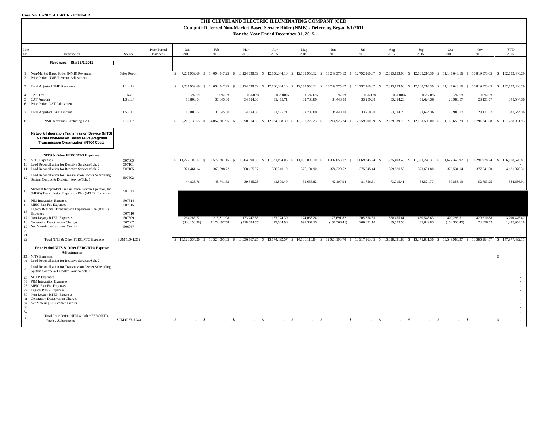| THE CLEVELAND ELECTRIC ILLUMINATING COMPANY (CEI)<br>Compute Deferred Non-Market Based Service Rider (NMB) - Deferring Began 6/1/2011<br>For the Year Ended December 31, 2015 |                                                                                                                                                  |                  |                                 |                                                   |                            |                             |                                                                                                                                                                                                             |                          |                             |                          |                                                 |                         |                             |                                |                              |
|-------------------------------------------------------------------------------------------------------------------------------------------------------------------------------|--------------------------------------------------------------------------------------------------------------------------------------------------|------------------|---------------------------------|---------------------------------------------------|----------------------------|-----------------------------|-------------------------------------------------------------------------------------------------------------------------------------------------------------------------------------------------------------|--------------------------|-----------------------------|--------------------------|-------------------------------------------------|-------------------------|-----------------------------|--------------------------------|------------------------------|
| Line<br>No.                                                                                                                                                                   | Description                                                                                                                                      | Source           | Prior Period<br><b>Balances</b> | Jan<br>2015                                       | Feb<br>2015                | Mar<br>2015                 | Apr<br>2015                                                                                                                                                                                                 | May<br>2015              | Jun<br>2015                 | Jul<br>2015              | Aug<br>2015                                     | Sep<br>2015             | Oct<br>2015                 | Nov<br>2015                    | <b>YTD</b><br>2015           |
|                                                                                                                                                                               | Revenues - Start 6/1/2011                                                                                                                        |                  |                                 |                                                   |                            |                             |                                                                                                                                                                                                             |                          |                             |                          |                                                 |                         |                             |                                |                              |
|                                                                                                                                                                               | Non-Market Based Rider (NMB) Revenues<br>2 Prior Period NMB Revenue Adjustment                                                                   | Sales Report     |                                 | s.                                                |                            |                             | 7,231,939.69 \$ 14,094,347.25 \$ 13,124,638.59 \$ 12,106,044.10 \$ 12,589,956.12 \$ 13,249,375.12 \$ 12,792,260.87 \$ 12,813,153.98 \$ 12,163,214.36 \$ 11,147,643.16 \$ 10,819,873.05                      |                          |                             |                          |                                                 |                         |                             |                                | \$132,132,446.29             |
|                                                                                                                                                                               | 3 Total Adjusted NMB Revenues                                                                                                                    | $L1 + L2$        |                                 | \$ 7,231,939.69 \$ 14,094,347.25 \$ 13,124,638.59 |                            |                             | - S<br>12,106,044.10 \$                                                                                                                                                                                     | 12,589,956.12            |                             |                          | \$13,249,375.12 \$12,792,260.87 \$12,813,153.98 | \$ 12,163,214.36 \$     |                             | 11,147,643.16 \$ 10,819,873.05 | 132, 132, 446.29<br>S.       |
|                                                                                                                                                                               | 4 CAT Tax                                                                                                                                        | Tax              |                                 | 0.2600%                                           | 0.2600%                    | 0.2600%                     | 0.2600%                                                                                                                                                                                                     | 0.2600%                  | 0.2600%                     | 0.2600%                  | 0.2600%                                         | 0.2600%                 | 0.2600%                     | 0.2600%                        |                              |
|                                                                                                                                                                               | 5 CAT Amount                                                                                                                                     | L3xL4            |                                 | 18,803.04                                         | 36,645.30                  | 34,124.06                   | 31,475.71                                                                                                                                                                                                   | 32,733.89                | 34,448.38                   | 33,259.88                | 33,314.20                                       | 31,624.36               | 28,983.87                   | 28,131.67                      | 343,544.36                   |
|                                                                                                                                                                               | 6 Prior Period CAT Adjustment                                                                                                                    |                  |                                 |                                                   |                            |                             |                                                                                                                                                                                                             |                          |                             |                          |                                                 |                         |                             |                                |                              |
|                                                                                                                                                                               | 7 Total Adjusted CAT Amount                                                                                                                      | $L5+L6$          |                                 | 18,803.04                                         | 36,645.30                  | 34,124.06                   | 31,475.71                                                                                                                                                                                                   | 32,733.89                | 34,448.38                   | 33,259.88                | 33,314.20                                       | 31,624.36               | 28,983.87                   | 28,131.67                      | 343,544.36                   |
|                                                                                                                                                                               | <b>NMB</b> Revenues Excluding CAT                                                                                                                | $L3 - L7$        |                                 |                                                   |                            |                             | \$ 7,213,136.65 \$ 14,057,701.95 \$ 13,090,514.53 \$ 12,074,568.39 \$ 12,557,222.23 \$ 13,214,926.74 \$ 12,759,000.99 \$ 12,779,839.78 \$ 12,131,590.00 \$ 11,118,659.29 \$ 10,791,741.38 \$ 131,788,901.93 |                          |                             |                          |                                                 |                         |                             |                                |                              |
|                                                                                                                                                                               | <b>Network Integration Transmission Service (NITS)</b><br>& Other Non-Market Based FERC/Regional<br><b>Transmission Organization (RTO) Costs</b> |                  |                                 |                                                   |                            |                             |                                                                                                                                                                                                             |                          |                             |                          |                                                 |                         |                             |                                |                              |
|                                                                                                                                                                               | NITS & Other FERC/RTO Expenses:                                                                                                                  |                  |                                 |                                                   |                            |                             |                                                                                                                                                                                                             |                          |                             |                          |                                                 |                         |                             |                                |                              |
|                                                                                                                                                                               | 9 NITS Expenses<br>10 Load Reconciliation for Reactive Services/Sch. 2                                                                           | 507003           |                                 |                                                   |                            |                             | \$ 11,722,100.17 \$ 10,572,781.15 \$ 11,704,690.93 \$ 11,331,194.05 \$ 11,695,006.10 \$ 11,307,058.17 \$ 11,669,745.24 \$ 11,735,403.48 \$ 11,301,278.31 \$ 11,677,340.97 \$ 11,291,978.24 \$               |                          |                             |                          |                                                 |                         |                             |                                | 126,008,576.81               |
|                                                                                                                                                                               | 11 Load Reconciliation for Reactive Services/Sch. 2                                                                                              | 507101<br>507105 |                                 | 371,461.14                                        | 369,898.72                 | 368,155.57                  | 380,310.19                                                                                                                                                                                                  | 376,194.90               | 374,229.52                  | 375,245.44               | 379,820.59                                      | 371,681.80              | 376,531.14                  | 377,541.30                     | 4,121,070.31                 |
| 12                                                                                                                                                                            | Load Reconciliation for Transmission Owner Scheduling,<br>System Control & Dispatch Service/Sch. 1                                               | 507502           |                                 | 44,833.76                                         | 48,741.53                  | 39,545.23                   | 41,899.40                                                                                                                                                                                                   | 31,655.82                | 42,107.94                   | 81,756.61                | 73,015.41                                       | 68,524.77               | 59,853.19                   | 52,703.25                      | 584,636.91                   |
| 13                                                                                                                                                                            | Midwest Independent Transmission System Operator, Inc.<br>(MISO) Transmission Expansion Plan (MTEP) Expenses                                     | 507513           |                                 |                                                   |                            |                             |                                                                                                                                                                                                             |                          |                             |                          |                                                 |                         |                             |                                |                              |
|                                                                                                                                                                               | 14 PJM Integration Expenses                                                                                                                      | 507514           |                                 |                                                   |                            |                             |                                                                                                                                                                                                             |                          |                             |                          |                                                 |                         |                             |                                |                              |
|                                                                                                                                                                               | 15 MISO Exit Fee Expenses                                                                                                                        | 507515           |                                 |                                                   |                            |                             |                                                                                                                                                                                                             |                          |                             |                          |                                                 |                         |                             |                                |                              |
| 16                                                                                                                                                                            | Legacy Regional Transmission Expansion Plan (RTEP)                                                                                               |                  |                                 |                                                   |                            |                             |                                                                                                                                                                                                             |                          |                             |                          |                                                 |                         |                             |                                |                              |
|                                                                                                                                                                               | Expenses                                                                                                                                         | 507510           |                                 |                                                   |                            |                             |                                                                                                                                                                                                             |                          |                             |                          |                                                 |                         |                             |                                |                              |
|                                                                                                                                                                               | 17 Non-Legacy RTEP Expenses<br>18 Generation Deactivation Charges                                                                                | 507509<br>507007 |                                 | 264,285.72<br>(338, 158.98)                       | 213,811.98<br>1,172,697.58 | 173,747.38<br>(418, 684.55) | 173,974.30<br>77,604.93                                                                                                                                                                                     | 174,068.24<br>691,307.15 | 173,691.82<br>(157, 566.41) | 205,354.33<br>200,891.10 | 650,455.61<br>39,533.56                         | 420,548.63<br>39,849.83 | 420,296.51<br>(154, 356.45) | 420,210.88<br>74,836.52        | 3,290,445.40<br>1,227,954.28 |
|                                                                                                                                                                               | 19 Net Metering - Customer Credits                                                                                                               | 506967           |                                 |                                                   |                            |                             |                                                                                                                                                                                                             |                          |                             |                          |                                                 |                         |                             |                                |                              |
| 20                                                                                                                                                                            |                                                                                                                                                  |                  |                                 |                                                   |                            |                             |                                                                                                                                                                                                             |                          |                             |                          |                                                 |                         |                             |                                |                              |
| 21                                                                                                                                                                            |                                                                                                                                                  |                  |                                 |                                                   |                            |                             |                                                                                                                                                                                                             |                          |                             |                          |                                                 |                         |                             |                                |                              |
| 22                                                                                                                                                                            | Total NITS & Other FERC/RTO Expenses                                                                                                             | SUM (L9-L21)     |                                 |                                                   |                            |                             | \$ 13,128,334.26 \$ 13,524,005.35 \$ 13,036,767.25 \$ 13,174,492.57 \$ 14,136,110.84 \$ 12,924,193.70 \$ 13,917,163.45 \$ 13,828,391.83 \$ 13,371,881.36 \$ 13,549,986.97 \$ 13,386,164.57                  |                          |                             |                          |                                                 |                         |                             |                                | \$147,977,492.15             |
|                                                                                                                                                                               | Prior Period NITS & Other FERC/RTO Expense<br><b>Adjustments:</b>                                                                                |                  |                                 |                                                   |                            |                             |                                                                                                                                                                                                             |                          |                             |                          |                                                 |                         |                             |                                |                              |
|                                                                                                                                                                               | 23 NITS Expenses<br>24 Load Reconciliation for Reactive Services/Sch. 2                                                                          |                  |                                 |                                                   |                            |                             |                                                                                                                                                                                                             |                          |                             |                          |                                                 |                         |                             |                                | $\mathcal{S}$                |
|                                                                                                                                                                               |                                                                                                                                                  |                  |                                 |                                                   |                            |                             |                                                                                                                                                                                                             |                          |                             |                          |                                                 |                         |                             |                                |                              |
| 25                                                                                                                                                                            | Load Reconciliation for Transmission Owner Scheduling,<br>System Control & Dispatch Service/Sch. 1                                               |                  |                                 |                                                   |                            |                             |                                                                                                                                                                                                             |                          |                             |                          |                                                 |                         |                             |                                |                              |
|                                                                                                                                                                               | 26 MTEP Expenses                                                                                                                                 |                  |                                 |                                                   |                            |                             |                                                                                                                                                                                                             |                          |                             |                          |                                                 |                         |                             |                                |                              |
|                                                                                                                                                                               | 27 PJM Integration Expenses                                                                                                                      |                  |                                 |                                                   |                            |                             |                                                                                                                                                                                                             |                          |                             |                          |                                                 |                         |                             |                                |                              |
|                                                                                                                                                                               | 28 MISO Exit Fee Expenses                                                                                                                        |                  |                                 |                                                   |                            |                             |                                                                                                                                                                                                             |                          |                             |                          |                                                 |                         |                             |                                |                              |
|                                                                                                                                                                               | 29 Legacy RTEP Expenses<br>30 Non-Legacy RTEP Expenses                                                                                           |                  |                                 |                                                   |                            |                             |                                                                                                                                                                                                             |                          |                             |                          |                                                 |                         |                             |                                |                              |
|                                                                                                                                                                               | 31 Generation Deactivation Charges                                                                                                               |                  |                                 |                                                   |                            |                             |                                                                                                                                                                                                             |                          |                             |                          |                                                 |                         |                             |                                |                              |
|                                                                                                                                                                               | 32 Net Metering - Customer Credits                                                                                                               |                  |                                 |                                                   |                            |                             |                                                                                                                                                                                                             |                          |                             |                          |                                                 |                         |                             |                                |                              |
| 33                                                                                                                                                                            |                                                                                                                                                  |                  |                                 |                                                   |                            |                             |                                                                                                                                                                                                             |                          |                             |                          |                                                 |                         |                             |                                |                              |
| 34                                                                                                                                                                            |                                                                                                                                                  |                  |                                 |                                                   |                            |                             |                                                                                                                                                                                                             |                          |                             |                          |                                                 |                         |                             |                                |                              |
| 35                                                                                                                                                                            | Total Prior Period NITS & Other FERC/RTO<br><b>Expense Adjustments</b>                                                                           | SUM (L23-L34)    |                                 |                                                   |                            |                             |                                                                                                                                                                                                             |                          |                             |                          |                                                 |                         |                             |                                |                              |
|                                                                                                                                                                               |                                                                                                                                                  |                  |                                 |                                                   |                            |                             |                                                                                                                                                                                                             |                          |                             |                          |                                                 |                         |                             |                                |                              |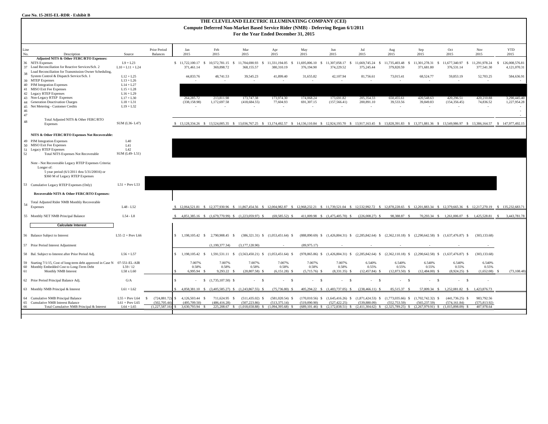| Case No. 15-2035-EL-RDR - Exhibit B                                                                                                   |                                             |                                 |                                 |                                   |                                                     |                                                                                                                                                                                            |                                         |                             |                                                                                                                       |                                |                                     |                                     |                                           |                             |                                                |
|---------------------------------------------------------------------------------------------------------------------------------------|---------------------------------------------|---------------------------------|---------------------------------|-----------------------------------|-----------------------------------------------------|--------------------------------------------------------------------------------------------------------------------------------------------------------------------------------------------|-----------------------------------------|-----------------------------|-----------------------------------------------------------------------------------------------------------------------|--------------------------------|-------------------------------------|-------------------------------------|-------------------------------------------|-----------------------------|------------------------------------------------|
| THE CLEVELAND ELECTRIC ILLUMINATING COMPANY (CEI)<br>Compute Deferred Non-Market Based Service Rider (NMB) - Deferring Began 6/1/2011 |                                             |                                 |                                 |                                   |                                                     |                                                                                                                                                                                            |                                         |                             |                                                                                                                       |                                |                                     |                                     |                                           |                             |                                                |
|                                                                                                                                       | For the Year Ended December 31, 2015        |                                 |                                 |                                   |                                                     |                                                                                                                                                                                            |                                         |                             |                                                                                                                       |                                |                                     |                                     |                                           |                             |                                                |
|                                                                                                                                       |                                             |                                 |                                 |                                   |                                                     |                                                                                                                                                                                            |                                         |                             |                                                                                                                       |                                |                                     |                                     |                                           |                             |                                                |
| Line<br>No.<br>Description                                                                                                            |                                             | Source                          | Prior Period<br><b>Balances</b> | Jan<br>2015                       | Feb<br>2015                                         | Mar<br>2015                                                                                                                                                                                | Apr<br>2015                             | May<br>2015                 | Jun<br>2015                                                                                                           | Jul<br>2015                    | Aug<br>2015                         | Sep<br>2015                         | Oct<br>2015                               | Nov<br>2015                 | <b>YTD</b><br>2015                             |
| Adjusted NITS & Other FERC/RTO Expenses:                                                                                              |                                             |                                 |                                 |                                   |                                                     |                                                                                                                                                                                            |                                         |                             |                                                                                                                       |                                |                                     |                                     |                                           |                             |                                                |
| 36<br><b>NITS</b> Expenses<br>Load Reconciliation for Reactive Services/Sch. 2<br>37                                                  |                                             | $L9 + L23$<br>$L10 + L11 + L24$ |                                 | $$11,722,100.17$ \$<br>371,461.14 | 10,572,781.15 \$<br>369,898.72                      | 11,704,690.93<br>S.<br>368,155.57                                                                                                                                                          | 11,331,194.05<br>- \$<br>380,310.19     | 11,695,006.10<br>376,194.90 | 11,307,058.17 \$<br>- \$<br>374.229.52                                                                                | 11,669,745.24 \$<br>375,245.44 | 11,735,403.48<br>- \$<br>379,820.59 | 11,301,278.31<br>- \$<br>371,681.80 | 11,677,340.97<br>- S<br>376,531.14        | 11,291,978.24<br>377,541.30 | 126,008,576.81<br>$\mathbf{s}$<br>4,121,070.31 |
| Load Reconciliation for Transmission Owner Scheduling,<br>38<br>System Control & Dispatch Service/Sch. 1                              |                                             | $L12 + L25$                     |                                 | 44,833.76                         | 48,741.53                                           | 39,545.23                                                                                                                                                                                  | 41,899.40                               | 31,655.82                   | 42,107.94                                                                                                             |                                |                                     | 68,524.77                           | 59,853.19                                 | 52,703.25                   | 584,636.91                                     |
| 39 MTEP Expenses                                                                                                                      |                                             | $L13 + L26$                     |                                 |                                   |                                                     |                                                                                                                                                                                            |                                         |                             |                                                                                                                       | 81,756.61                      | 73,015.41                           |                                     |                                           |                             |                                                |
| 40 PJM Integration Expenses                                                                                                           |                                             | $L14 + L27$                     |                                 |                                   |                                                     |                                                                                                                                                                                            |                                         |                             |                                                                                                                       |                                |                                     |                                     |                                           |                             |                                                |
| 41 MISO Exit Fee Expenses                                                                                                             |                                             | $L15 + L28$                     |                                 |                                   |                                                     |                                                                                                                                                                                            |                                         |                             |                                                                                                                       |                                |                                     |                                     |                                           |                             |                                                |
| 42 Legacy RTEP Expenses                                                                                                               |                                             | $L16 + L29$                     |                                 |                                   |                                                     |                                                                                                                                                                                            |                                         |                             |                                                                                                                       |                                |                                     |                                     |                                           |                             |                                                |
| 43 Non-Legacy RTEP Expenses                                                                                                           |                                             | $L17 + L30$                     |                                 | 264,285.72                        | 213,811.98                                          | 173,747.38                                                                                                                                                                                 | 173,974.30                              | 174,068.24                  | 173,691.82                                                                                                            | 205,354.33                     | 650,455.61                          | 420,548.63                          | 420,296.51                                | 420,210.88                  | 3,290,445.40                                   |
| 44 Generation Deactivation Charges                                                                                                    |                                             | $L18 + L31$                     |                                 | (338, 158.98)                     | 1,172,697.58                                        | (418, 684.55)                                                                                                                                                                              | 77,604.93                               | 691,307.15                  | (157, 566.41)                                                                                                         | 200,891.10                     | 39,533.56                           | 39,849.83                           | (154, 356.45)                             | 74,836.52                   | 1,227,954.28                                   |
| 45<br>Net Metering - Customer Credits<br>46                                                                                           |                                             | $L19 + L32$                     |                                 |                                   |                                                     | ×.                                                                                                                                                                                         | $\overline{\phantom{a}}$                |                             |                                                                                                                       |                                | $\epsilon$                          |                                     |                                           |                             |                                                |
| 47                                                                                                                                    |                                             |                                 |                                 |                                   |                                                     |                                                                                                                                                                                            |                                         |                             |                                                                                                                       |                                |                                     |                                     |                                           |                             |                                                |
| 48<br>Expenses                                                                                                                        | Total Adjusted NITS & Other FERC/RTO        | SUM (L36-L47)                   |                                 |                                   |                                                     | \$ 13,128,334.26 \$ 13,524,005.35 \$ 13,036,767.25 \$ 13,174,492.57 \$ 14,136,110.84 \$ 12,924,193.70 \$ 13,917,163.45 \$ 13,828,391.83 \$ 13,371,881.36 \$ 13,549,986.97 \$ 13,386,164.57 |                                         |                             |                                                                                                                       |                                |                                     |                                     |                                           |                             | \$147,977,492.15                               |
| NITS & Other FERC/RTO Expenses Not Recoverable:                                                                                       |                                             |                                 |                                 |                                   |                                                     |                                                                                                                                                                                            |                                         |                             |                                                                                                                       |                                |                                     |                                     |                                           |                             |                                                |
| 49 PJM Integration Expenses                                                                                                           |                                             | L40                             |                                 |                                   |                                                     |                                                                                                                                                                                            |                                         |                             |                                                                                                                       |                                |                                     |                                     |                                           |                             |                                                |
| 50 MISO Exit Fee Expenses                                                                                                             |                                             | L41                             |                                 |                                   |                                                     |                                                                                                                                                                                            |                                         |                             |                                                                                                                       |                                |                                     |                                     |                                           |                             |                                                |
| 51 Legacy RTEP Expenses                                                                                                               |                                             | L42                             |                                 |                                   |                                                     |                                                                                                                                                                                            |                                         |                             |                                                                                                                       |                                |                                     |                                     |                                           |                             |                                                |
| 52<br><b>Total NITS Expenses Not Recoverable</b>                                                                                      |                                             | SUM (L49-L51)                   |                                 |                                   |                                                     |                                                                                                                                                                                            |                                         |                             |                                                                                                                       |                                |                                     |                                     |                                           |                             |                                                |
| Note - Not Recoverable Legacy RTEP Expenses Criteria:<br>Longer of:<br>\$360 M of Legacy RTEP Expenses                                | 5 year period (6/1/2011 thru 5/31/20016) or |                                 |                                 |                                   |                                                     |                                                                                                                                                                                            |                                         |                             |                                                                                                                       |                                |                                     |                                     |                                           |                             |                                                |
| 53 Cumulative Legacy RTEP Expenses (Only)                                                                                             |                                             | $L51 + Prev L53$                |                                 |                                   |                                                     |                                                                                                                                                                                            |                                         |                             |                                                                                                                       |                                |                                     |                                     |                                           |                             |                                                |
| Recoverable NITS & Other FERC/RTO Expenses:                                                                                           |                                             |                                 |                                 |                                   |                                                     |                                                                                                                                                                                            |                                         |                             |                                                                                                                       |                                |                                     |                                     |                                           |                             |                                                |
|                                                                                                                                       |                                             |                                 |                                 |                                   |                                                     |                                                                                                                                                                                            |                                         |                             |                                                                                                                       |                                |                                     |                                     |                                           |                             |                                                |
| Total Adjusted Rider NMB Monthly Recoverable<br>54<br>Expenses                                                                        |                                             | L48 - L52                       |                                 |                                   |                                                     | 12,064,521.81 \$ 12,377,930.96 \$ 11,867,454.56 \$ 12,004,982.87 \$ 12,968,232.21 \$ 11,739,521.04 \$ 12,532,992.72 \$ 12,878,228.65 \$ 12,01,883.34 \$ 12,379,665.36 \$ 12,217,270.19     |                                         |                             |                                                                                                                       |                                |                                     |                                     |                                           |                             | \$135,232,683.71                               |
| 55 Monthly NET NMB Principal Balance                                                                                                  |                                             | $L54 - L8$                      |                                 |                                   | 4,851,385.16 \$ (1,679,770.99) \$ (1,223,059.97) \$ |                                                                                                                                                                                            | $(69,585.52)$ \$                        |                             | 411,009.98 \$ (1,475,405.70) \$                                                                                       | $(226,008.27)$ \$              | 98,388.87 \$                        |                                     | 70,293.34 \$ 1,261,006.07 \$ 1,425,528.81 |                             | 3,443,781.78<br>$\mathbf{s}$                   |
| <b>Calculate Interest</b>                                                                                                             |                                             |                                 |                                 |                                   |                                                     |                                                                                                                                                                                            |                                         |                             |                                                                                                                       |                                |                                     |                                     |                                           |                             |                                                |
|                                                                                                                                       |                                             |                                 |                                 |                                   |                                                     |                                                                                                                                                                                            |                                         |                             |                                                                                                                       |                                |                                     |                                     |                                           |                             |                                                |
| 56 Balance Subject to Interest                                                                                                        |                                             | L55 $/2$ + Prev L66             |                                 |                                   | \$1,198,105.42 \$2,790,908.45 \$                    |                                                                                                                                                                                            | $(386,321.31)$ \$ $(1,053,451.64)$ \$   |                             | (888,890.69) \$ (1,426,804.31) \$ (2,285,842.64) \$ (2,362,110.18) \$ (2,290,642.58) \$ (1,637,476.87) \$             |                                |                                     |                                     |                                           | (303, 133.68)               |                                                |
| 57 Prior Period Interest Adjustment                                                                                                   |                                             |                                 |                                 |                                   | (1,199,377.34)                                      | (3,177,128.90)                                                                                                                                                                             |                                         | (89,975.17)                 |                                                                                                                       |                                |                                     |                                     |                                           |                             |                                                |
| 58 Bal. Subject to Interest after Prior Period Adj                                                                                    |                                             | $L56 + L57$                     |                                 | $$1,198,105.42$ \$                | 1,591,531.11 \$                                     |                                                                                                                                                                                            | $(3,563,450.21)$ \$ $(1,053,451.64)$ \$ |                             | (978,865.86) \$ (1,426,804.31) \$ (2,285,842.64) \$ (2,362,110.18) \$ (2,290,642.58) \$ (1,637,476.87) \$             |                                |                                     |                                     |                                           | (303, 133.68)               |                                                |
| 59 Starting 7/1/15, Cost of long-term debt approved in Case N                                                                         |                                             | 07-551-EL-AIR                   |                                 | 7.007%                            | 7.007%                                              | 7.007%                                                                                                                                                                                     | 7.007%                                  | 7.007%                      | 7.007%                                                                                                                | 6.540%                         | 6.540%                              | 6.540%                              | 6.540%                                    | 6.540%                      |                                                |
| 60<br>Monthly Embedded Cost to Long-Term Debt                                                                                         |                                             | L59/12                          |                                 | 0.58%                             | 0.58%                                               | 0.58%                                                                                                                                                                                      | 0.58%                                   | 0.58%                       | 0.58%                                                                                                                 | 0.55%                          | 0.55%                               | 0.55%                               | 0.55%                                     | 0.55%                       |                                                |
| 61<br>Monthly NMB Interest                                                                                                            |                                             | L58 x L60                       |                                 | 6,995.94                          | 9,293.22 \$<br>$\mathbf{\hat{S}}$                   | $(20,807.58)$ \$                                                                                                                                                                           | $(6,151.28)$ \$                         | $(5,715.76)$ \$             | $(8,331.35)$ \$                                                                                                       | $(12, 457.84)$ \$              | $(12,873.50)$ \$                    | $(12,484.00)$ \$                    | $(8,924.25)$ \$                           | (1,652.08)                  | (73, 108.48)                                   |
| 62 Prior Period Principal Balance Adj.                                                                                                |                                             | G/A                             |                                 |                                   | $(1,735,107.50)$ \$<br>S.                           | - 8                                                                                                                                                                                        |                                         |                             | $\mathbf{\hat{S}}$                                                                                                    | $\mathbf{s}$                   | -8                                  | $\mathbf{\hat{S}}$                  | $-5$                                      |                             |                                                |
| 63 Monthly NMB Principal & Interest                                                                                                   |                                             | $L61 + L62$                     |                                 | 4.858.381.10 \$                   | $(3,405,585.27)$ \$                                 | $(1,243,867.55)$ \$                                                                                                                                                                        | $(75,736.80)$ \$                        | 405.294.22 \$               | $(1,483,737.05)$ \$                                                                                                   | $(238, 466.11)$ \$             | 85,515.37 \$                        | 57,809.34 S                         | 1,252,081.82 \$                           | 1.423.876.73                |                                                |
| 64 Cumulative NMB Principal Balance                                                                                                   |                                             | $L55 + Prev L64$                | -S<br>(724.881.72)              | $\mathbf{z}$<br>4.126.503.44 \$   | 711,624.95 \$                                       | $(511.435.02)$ S                                                                                                                                                                           | $(581.020.54)$ \$                       |                             | $(170,010.56)$ \$ $(1,645,416.26)$ \$ $(1,871,424.53)$ \$ $(1,773,035.66)$ \$ $(1,702,742.32)$ \$                     |                                |                                     |                                     | $(441.736.25)$ \$                         | 983,792.56                  |                                                |
| 65<br>Cumulative NMB Interest Balance                                                                                                 |                                             | $L61 + Prev L65$                | (502.705.44                     | (495,709,50)                      | (486, 416, 28)                                      | (507.223.86)                                                                                                                                                                               | (513.375.14)                            | (519.090.90)                | (527.422.25)                                                                                                          | (539.880.09)                   | (552.753.59)                        | (565.237.59)                        | (574.161.84)                              | (575.813.92)                |                                                |
| 66                                                                                                                                    | Total Cumulative NMB Principal & Interest   | $L64 + L65$                     | (1.227.587.16)                  | 3.630.793.94 \$                   |                                                     | 225.208.67 \$ (1.018.658.88) \$ (1.094.395.68) \$                                                                                                                                          |                                         |                             | $(689.101.46)$ \$ $(2.172.838.51)$ \$ $(2.411.304.62)$ \$ $(2.325.789.25)$ \$ $(2.267.979.91)$ \$ $(1.015.898.09)$ \$ |                                |                                     |                                     |                                           | 407,978.64                  |                                                |
|                                                                                                                                       |                                             |                                 |                                 |                                   |                                                     |                                                                                                                                                                                            |                                         |                             |                                                                                                                       |                                |                                     |                                     |                                           |                             |                                                |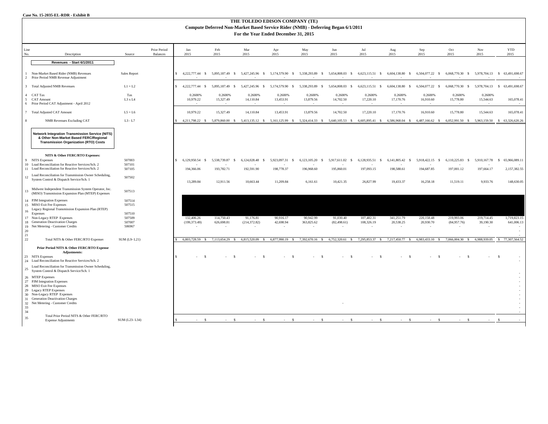#### **THE TOLEDO EDISON COMPANY (TE) Compute Deferred Non-Market Based Service Rider (NMB) - Deferring Began 6/1/2011 For the Year Ended December 31, 2015**

| Line<br>No.           | Description                                                                                                                                                                                                        | Source                     | Prior Period<br>Balances | Jan<br>2015                      | Feb<br>2015                        | Mar<br>2015                        | Apr<br>2015                     | May<br>2015                            | Jun<br>2015                              | Jul<br>2015                   | Aug<br>2015                   | Sep<br>2015                   | Oct<br>2015                        | Nov<br>2015                   | <b>YTD</b><br>2015            |
|-----------------------|--------------------------------------------------------------------------------------------------------------------------------------------------------------------------------------------------------------------|----------------------------|--------------------------|----------------------------------|------------------------------------|------------------------------------|---------------------------------|----------------------------------------|------------------------------------------|-------------------------------|-------------------------------|-------------------------------|------------------------------------|-------------------------------|-------------------------------|
|                       | Revenues - Start 6/1/2011                                                                                                                                                                                          |                            |                          |                                  |                                    |                                    |                                 |                                        |                                          |                               |                               |                               |                                    |                               |                               |
| 2                     | Non-Market Based Rider (NMB) Revenues<br>Prior Period NMB Revenue Adjustment                                                                                                                                       | Sales Report               |                          |                                  | 5,895,187.49 \$                    | 5,427,245.96<br>- S                | 5,174,579.90<br>- S             | 5,338,293.89<br>-S                     | 5,654,808.03 \$                          | 6,623,115.51 \$               | 6,604,138.80<br>$\mathbf{s}$  | 6,504,077.22 \$               | 6,068,770.30 \$                    |                               | 5,978,704.13 \$ 63,491,698.67 |
|                       | 3 Total Adjusted NMB Revenues                                                                                                                                                                                      | $L1 + L2$                  |                          | $$4.222.777.44$ \$               | 5.895.187.49 \$                    | 5.427.245.96 \$                    | 5.174.579.90<br>$\mathbf{s}$    | 5,338,293.89<br>$\mathbf{s}$           | 5.654.808.03 \$                          | 6,623,115.51 \$               | 6,604,138.80<br>- S           | 6.504.077.22<br>$\mathbf{s}$  | 6,068,770.30 \$                    | 5.978.704.13 \$               | 63,491,698.67                 |
|                       | 4 CAT Tax<br>5 CAT Amount<br>6 Prior Period CAT Adjustment - April 2012                                                                                                                                            | Tax<br>L3xL4               |                          | 0.2600%<br>10,979.22             | 0.2600%<br>15,327.49               | 0.2600%<br>14,110.84               | 0.2600%<br>13,453.91            | 0.2600%<br>13,879.56                   | 0.2600%<br>14,702.50                     | 0.2600%<br>17,220.10          | 0.2600%<br>17,170.76          | 0.2600%<br>16,910.60          | 0.2600%<br>15,778.80               | 0.2600%<br>15,544.63          | 165,078.41                    |
|                       | 7 Total Adjusted CAT Amount                                                                                                                                                                                        | $L5+L6$                    |                          | 10,979.22                        | 15,327.49                          | 14,110.84                          | 13,453.91                       | 13,879.56                              | 14,702.50                                | 17,220.10                     | 17,170.76                     | 16,910.60                     | 15,778.80                          | 15,544.63                     | 165,078.41                    |
| $\mathbf{\mathbf{8}}$ | <b>NMB Revenues Excluding CAT</b>                                                                                                                                                                                  | $L3 - L7$                  |                          | 4,211,798.22 \$                  | 5,879,860.00 \$                    |                                    | 5,413,135.12 \$ 5,161,125.99 \$ | 5,324,414.33 \$                        | 5,640,105.53 \$                          | 6,605,895.41 \$               | 6,586,968.04 \$               | 6,487,166.62 \$               | 6,052,991.50 \$                    |                               | 5,963,159.50 \$ 63,326,620.26 |
|                       | <b>Network Integration Transmission Service (NITS)</b><br>& Other Non-Market Based FERC/Regional<br><b>Transmission Organization (RTO) Costs</b>                                                                   |                            |                          |                                  |                                    |                                    |                                 |                                        |                                          |                               |                               |                               |                                    |                               |                               |
|                       | NITS & Other FERC/RTO Expenses:<br>9 NITS Expenses<br>10 Load Reconciliation for Reactive Services/Sch. 2<br>11 Load Reconciliation for Reactive Services/Sch. 2                                                   | 507003<br>507101<br>507105 |                          | $$6,129,950.54$ \$<br>194,366.06 | 5,538,739.87 \$<br>193,782.71      | 6,124,028.48 \$<br>192,591.90      | 5,923,097.31 \$<br>198,778.37   | 6,123,105.20 \$<br>196,968.60          | 5,917,611.02 \$<br>195,860.01            | 6,128,935.51 \$<br>197,093.15 | 6,141,805.42 \$<br>198,588.61 | 5,918,422.15 \$<br>194,687.85 | 6,110,225.83 \$<br>197,001.12      | 5,910,167.78 \$<br>197,664.17 | 65,966,089.11<br>2,157,382.55 |
| 12                    | Load Reconciliation for Transmission Owner Scheduling,<br>System Control & Dispatch Service/Sch. 1                                                                                                                 | 507502                     |                          | 13,289.84                        | 12,911.56                          | 10,663.44                          | 11,209.84                       | 6,161.61                               | 10,421.35                                | 26,827.99                     | 19,433.37                     | 16,258.18                     | 11,519.11                          | 9,933.76                      | 148,630.05                    |
| 13                    | Midwest Independent Transmission System Operator, Inc.<br>(MISO) Transmission Expansion Plan (MTEP) Expenses                                                                                                       | 507513                     |                          |                                  |                                    |                                    |                                 |                                        |                                          |                               |                               |                               |                                    |                               |                               |
| 16                    | 14 PJM Integration Expenses<br>15 MISO Exit Fee Expenses<br>Legacy Regional Transmission Expansion Plan (RTEP)                                                                                                     | 507514<br>507515           |                          |                                  |                                    |                                    |                                 |                                        |                                          |                               |                               |                               |                                    |                               |                               |
|                       | Expenses<br>17 Non-Legacy RTEP Expenses                                                                                                                                                                            | 507510<br>507509           |                          | 132,406.26                       | 114,750.43                         | 91,176.81                          | 90,916.17                       | 90,942.99                              | 91,030.40                                | 107,482.31                    | 341,251.79                    | 220,158.48                    | 219,993.06                         | 219,714.45                    | 1,719,823.15                  |
|                       | 18 Generation Deactivation Charges<br>19 Net Metering - Customer Credits                                                                                                                                           | 507007<br>506967           |                          | (199, 373.49)                    | 626,698.81                         | (214, 372.82)<br>$\sim$            | 42,698.94<br>×.                 | 363,825.62<br>$\overline{\phantom{a}}$ | (82, 498.61)<br>$\overline{\phantom{a}}$ | 108,326.19                    | 20,538.25<br>$\sim$           | 20,930.70<br>×.               | (84,957.76)<br>$\sim$              | 39,190.30                     | 641,006.13                    |
| 20                    |                                                                                                                                                                                                                    |                            |                          |                                  |                                    |                                    |                                 |                                        |                                          |                               |                               |                               |                                    |                               |                               |
| 21<br>22              | Total NITS & Other FERC/RTO Expenses                                                                                                                                                                               | SUM (L9-L21)               |                          | 6,803,728.59<br>$\mathcal{S}$    | 7,113,654.29<br>$\hat{\mathbf{S}}$ | 6,815,520.09<br>$\hat{\mathbf{x}}$ | 6,877,990.19 \$                 | 7,392,670.16 \$                        | 6,752,320.61 \$                          | 7,295,853.37 \$               | 7,217,450.77 \$               | 6,983,433.10 \$               | 7,066,004.30<br>$\hat{\mathbf{S}}$ | 6,988,939.05                  | 77,307,564.52<br>S.           |
|                       | Prior Period NITS & Other FERC/RTO Expense<br>Adjustments:<br>23 NITS Expenses                                                                                                                                     |                            |                          |                                  |                                    |                                    |                                 | $\hat{\mathbf{x}}$                     |                                          |                               |                               |                               | $\hat{\mathbf{x}}$                 |                               |                               |
| $25\,$                | 24 Load Reconciliation for Reactive Services/Sch. 2<br>Load Reconciliation for Transmission Owner Scheduling,<br>System Control & Dispatch Service/Sch. 1                                                          |                            |                          |                                  |                                    |                                    |                                 |                                        |                                          |                               |                               |                               |                                    |                               |                               |
| 33                    | 26 MTEP Expenses<br>27 PJM Integration Expenses<br>28 MISO Exit Fee Expenses<br>29 Legacy RTEP Expenses<br>30 Non-Legacy RTEP Expenses<br>31 Generation Deactivation Charges<br>32 Net Metering - Customer Credits |                            |                          |                                  |                                    |                                    |                                 |                                        |                                          |                               |                               |                               |                                    |                               |                               |
| 34<br>35              | Total Prior Period NITS & Other FERC/RTO<br><b>Expense Adjustments</b>                                                                                                                                             | SUM (L23-L34)              |                          | $\mathbf{\hat{S}}$               |                                    |                                    | $\mathcal{S}$                   | $\hat{\mathbf{S}}$                     | $\hat{\mathbf{x}}$                       | $\mathcal{S}$                 | $\sim$                        | $\mathbf{s}$                  | $\mathbf{s}$                       |                               | -S                            |
|                       |                                                                                                                                                                                                                    |                            |                          |                                  |                                    |                                    |                                 |                                        |                                          |                               |                               |                               |                                    |                               |                               |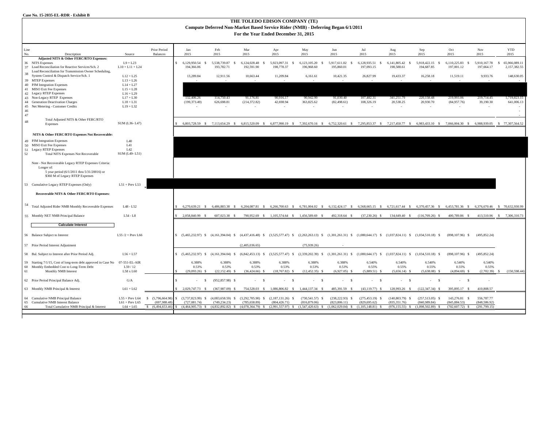#### **THE TOLEDO EDISON COMPANY (TE) Compute Deferred Non-Market Based Service Rider (NMB) - Deferring Began 6/1/2011 For the Year Ended December 31, 2015**

| Line<br>No. | Description                                                                                                   | Source                            | Prior Period<br><b>Balances</b>     | Jan<br>2015                            | Feb<br>2015                             | Mar<br>2015                         | Apr<br>2015                                   | May<br>2015                                                                 | Jun<br>2015                             | Jul<br>2015                                                                                                                  | Aug<br>2015                        | Sep<br>2015                         | Oct<br>2015                        | Nov<br>2015                  | <b>YTD</b><br>2015                  |
|-------------|---------------------------------------------------------------------------------------------------------------|-----------------------------------|-------------------------------------|----------------------------------------|-----------------------------------------|-------------------------------------|-----------------------------------------------|-----------------------------------------------------------------------------|-----------------------------------------|------------------------------------------------------------------------------------------------------------------------------|------------------------------------|-------------------------------------|------------------------------------|------------------------------|-------------------------------------|
|             | Adjusted NITS & Other FERC/RTO Expenses:                                                                      |                                   |                                     |                                        |                                         |                                     |                                               |                                                                             |                                         |                                                                                                                              |                                    |                                     |                                    |                              |                                     |
|             | 36 NITS Expenses                                                                                              | $L9 + L23$                        |                                     | 6,129,950.54 \$                        | 5.538.739.87<br>- S                     | 6.124.028.48                        | 5,923,097.31<br>$\mathcal{S}$                 | 6,123,105.20<br>-S                                                          | 5,917,611.02<br>$\hat{\mathbf{S}}$      | 6,128,935.51<br>$\hat{\mathbf{S}}$                                                                                           | 6.141.805.42<br>$\mathcal{S}$      | 5,918,422.15<br>- 8                 | 6,110,225.83<br>$\hat{\mathbf{S}}$ | 5,910,167.78                 | 65,966,089.11<br>$\mathbf{\hat{S}}$ |
|             | 37 Load Reconciliation for Reactive Services/Sch. 2<br>Load Reconciliation for Transmission Owner Scheduling, | $L10 + L11 + L24$                 |                                     | 194,366,06                             | 193,782.71                              | 192.591.90                          | 198,778.37                                    | 196,968.60                                                                  | 195,860.01                              | 197,093.15                                                                                                                   | 198,588.61                         | 194,687.85                          | 197,001.12                         | 197,664.17                   | 2.157.382.55                        |
| 38          | System Control & Dispatch Service/Sch. 1                                                                      | $L12 + L25$                       |                                     | 13,289.84                              | 12,911.56                               | 10,663.44                           | 11,209.84                                     | 6,161.61                                                                    | 10,421.35                               | 26,827.99                                                                                                                    | 19,433.37                          | 16,258.18                           | 11,519.11                          | 9,933.76                     | 148,630.05                          |
|             | 39 MTEP Expenses                                                                                              | $L13 + L26$                       |                                     |                                        |                                         |                                     |                                               |                                                                             |                                         |                                                                                                                              |                                    |                                     |                                    |                              | $\sim$                              |
|             | 40 PJM Integration Expenses                                                                                   | $L14 + L27$                       |                                     |                                        |                                         |                                     |                                               |                                                                             |                                         |                                                                                                                              |                                    |                                     |                                    |                              |                                     |
|             | 41 MISO Exit Fee Expenses                                                                                     | $L15 + L28$                       |                                     |                                        |                                         |                                     |                                               |                                                                             |                                         |                                                                                                                              |                                    |                                     |                                    |                              |                                     |
|             | 42 Legacy RTEP Expenses<br>43 Non-Legacy RTEP Expenses                                                        | $L16 + L29$<br>$L17 + L30$        |                                     |                                        | 114,750.43                              |                                     |                                               |                                                                             |                                         |                                                                                                                              |                                    | 220,158.48                          |                                    |                              | 1,719,823.15                        |
|             | 44 Generation Deactivation Charges                                                                            | $L18 + L31$                       |                                     | 132,406.26<br>(199, 373.49)            | 626,698.81                              | 91,176.81<br>(214, 372.82)          | 90,916.17<br>42,698.94                        | 90,942.99<br>363,825.62                                                     | 91,030.40<br>(82, 498.61)               | 107,482.31<br>108,326.19                                                                                                     | 341,251.79<br>20,538.25            | 20,930.70                           | 219,993.06<br>(84,957.76)          | 219,714.45<br>39,190.30      | 641,006.13                          |
|             | 45 Net Metering - Customer Credits                                                                            | $L19 + L32$                       |                                     |                                        | $\sim$                                  | $\sim$                              | . .                                           | ÷.                                                                          | $\sim$                                  | $\sim$                                                                                                                       | $\sim$                             | $\sim$                              | $\sim$                             |                              | $\sim$                              |
| 46          |                                                                                                               |                                   |                                     |                                        |                                         |                                     |                                               |                                                                             |                                         |                                                                                                                              |                                    |                                     |                                    |                              | $\sim$                              |
| 47          |                                                                                                               |                                   |                                     |                                        |                                         |                                     |                                               |                                                                             |                                         |                                                                                                                              |                                    |                                     |                                    |                              | $\sim$                              |
| $48\,$      | Total Adjusted NITS & Other FERC/RTO<br>Expenses                                                              | SUM (L36-L47)                     |                                     |                                        | 6.803.728.59 \$ 7.113.654.29 \$         | 6.815.520.09 \$                     |                                               |                                                                             |                                         | 6,877,990.19 \$ 7,392,670.16 \$ 6,752,320.61 \$ 7,295,853.37 \$ 7,217,450.77 \$ 6,983,433.10 \$ 7,066,004.30 \$ 6,988,939.05 |                                    |                                     |                                    |                              | \$ 77,307,564.52                    |
|             |                                                                                                               |                                   |                                     |                                        |                                         |                                     |                                               |                                                                             |                                         |                                                                                                                              |                                    |                                     |                                    |                              |                                     |
|             | NITS & Other FERC/RTO Expenses Not Recoverable:                                                               |                                   |                                     |                                        |                                         |                                     |                                               |                                                                             |                                         |                                                                                                                              |                                    |                                     |                                    |                              |                                     |
|             | 49 PJM Integration Expenses                                                                                   | L40                               |                                     |                                        |                                         |                                     |                                               |                                                                             |                                         |                                                                                                                              |                                    |                                     |                                    |                              |                                     |
|             | 50 MISO Exit Fee Expenses                                                                                     | L41                               |                                     |                                        |                                         |                                     |                                               |                                                                             |                                         |                                                                                                                              |                                    |                                     |                                    |                              |                                     |
|             | 51 Legacy RTEP Expenses                                                                                       | L42                               |                                     |                                        |                                         |                                     |                                               |                                                                             |                                         |                                                                                                                              |                                    |                                     |                                    |                              |                                     |
| 52          | <b>Total NITS Expenses Not Recoverable</b>                                                                    | SUM (L49-L51)                     |                                     |                                        |                                         |                                     |                                               |                                                                             |                                         |                                                                                                                              |                                    |                                     |                                    |                              |                                     |
|             | Note - Not Recoverable Legacy RTEP Expenses Criteria:                                                         |                                   |                                     |                                        |                                         |                                     |                                               |                                                                             |                                         |                                                                                                                              |                                    |                                     |                                    |                              |                                     |
|             | Longer of:                                                                                                    |                                   |                                     |                                        |                                         |                                     |                                               |                                                                             |                                         |                                                                                                                              |                                    |                                     |                                    |                              |                                     |
|             | 5 year period (6/1/2011 thru 5/31/20016) or                                                                   |                                   |                                     |                                        |                                         |                                     |                                               |                                                                             |                                         |                                                                                                                              |                                    |                                     |                                    |                              |                                     |
|             | \$360 M of Legacy RTEP Expenses                                                                               |                                   |                                     |                                        |                                         |                                     |                                               |                                                                             |                                         |                                                                                                                              |                                    |                                     |                                    |                              |                                     |
|             | 53 Cumulative Legacy RTEP Expenses (Only)                                                                     | $L51 + Prev L53$                  |                                     |                                        |                                         |                                     |                                               |                                                                             |                                         |                                                                                                                              |                                    |                                     |                                    |                              |                                     |
|             | Recoverable NITS & Other FERC/RTO Expenses:                                                                   |                                   |                                     |                                        |                                         |                                     |                                               |                                                                             |                                         |                                                                                                                              |                                    |                                     |                                    |                              |                                     |
| 54          |                                                                                                               |                                   |                                     |                                        |                                         |                                     |                                               |                                                                             |                                         |                                                                                                                              |                                    |                                     |                                    |                              |                                     |
|             | Total Adjusted Rider NMB Monthly Recoverable Expenses                                                         | L48 - L52                         |                                     | 6.270.639.21 \$                        | 6.486,883.38 \$                         | 6.204.087.81 \$                     | 6.266.700.63 \$                               | 6.781.004.02 \$                                                             | 6.132.424.17 \$                         | 6.568.665.15 \$                                                                                                              | 6.721.617.44 \$                    | 6.370.457.36 \$                     | 6.453.781.36 \$                    | 6.376.670.46                 | \$ 70,632,930.99                    |
|             | 55 Monthly NET NMB Principal Balance                                                                          | $L54 - L8$                        |                                     | 2,058,840.99 \$                        | 607,023.38 \$                           |                                     | 790,952.69 \$ 1,105,574.64 \$ 1,456,589.69 \$ |                                                                             | 492,318.64 \$                           | $(37,230.26)$ \$                                                                                                             | 134,649.40 \$                      | $(116,709.26)$ \$                   | 400,789.86 \$                      |                              | 413,510.96 \$ 7,306,310.73          |
|             |                                                                                                               |                                   |                                     |                                        |                                         |                                     |                                               |                                                                             |                                         |                                                                                                                              |                                    |                                     |                                    |                              |                                     |
|             | <b>Calculate Interest</b>                                                                                     |                                   |                                     |                                        |                                         |                                     |                                               |                                                                             |                                         |                                                                                                                              |                                    |                                     |                                    |                              |                                     |
|             |                                                                                                               |                                   |                                     |                                        |                                         |                                     |                                               |                                                                             |                                         |                                                                                                                              |                                    |                                     |                                    |                              |                                     |
|             | 56 Balance Subject to Interest                                                                                | $L55/2$ + Prev L66                |                                     | \$ (5,465,232.97) \$ (4,161,394.04) \$ |                                         | $(4,437,416.48)$ \$                 | $(3,525,577.47)$ \$                           |                                                                             |                                         | $(2,263,263,13)$ \$ $(1,301,261,31)$ \$ $(1,080,644,17)$ \$ $(1,037,824,11)$ \$ $(1,034,510,18)$ \$                          |                                    |                                     | $(898, 107.96)$ \$                 | (495, 852, 24)               |                                     |
|             |                                                                                                               |                                   |                                     |                                        |                                         |                                     |                                               |                                                                             |                                         |                                                                                                                              |                                    |                                     |                                    |                              |                                     |
|             | 57 Prior Period Interest Adjustment                                                                           |                                   |                                     |                                        |                                         | (2,405,036.65)                      |                                               | (75.939.26)                                                                 |                                         |                                                                                                                              |                                    |                                     |                                    |                              |                                     |
|             | 58 Bal. Subject to Interest after Prior Period Adj.                                                           | $L56 + L57$                       |                                     | $\mathbf{S}$                           | $(5,465,232.97)$ \$ $(4,161,394.04)$ \$ | $(6,842,453.13)$ \$                 | $(3,525,577.47)$ \$                           |                                                                             | $(2,339,202.39)$ \$ $(1,301,261.31)$ \$ | $(1,080,644.17)$ \$                                                                                                          | $(1,037,824.11)$ \$                | (1,034,510.18)<br>- \$              | $(898, 107.96)$ \$                 | (495, 852.24)                |                                     |
| 59          | Starting 7/1/15, Cost of long-term debt approved in Case No                                                   | 07-551-EL-AIR                     |                                     | 6.388%                                 | 6.388%                                  | 6.388%                              | 6.388%                                        | 6.388%                                                                      | 6.388%                                  | 6.540%                                                                                                                       | 6.540%                             | 6.540%                              | 6.540%                             | 6.540%                       |                                     |
|             | 60 Monthly Embedded Cost to Long-Term Debt                                                                    | L59/12                            |                                     | 0.53%                                  | 0.53%                                   | 0.53%                               | 0.53%                                         | 0.53%                                                                       | 0.53%                                   | 0.55%                                                                                                                        | 0.55%                              | 0.55%                               | 0.55%                              | 0.55%                        |                                     |
| 61          | Monthly NMB Interest                                                                                          | L58 x L60                         |                                     | $(29,093.26)$ \$                       | $(22, 152.49)$ \$                       | $(36,424.66)$ \$                    | $(18,767.82)$ \$                              | $(12, 452.35)$ \$                                                           | $(6.927.05)$ \$                         | $(5,889.51)$ \$                                                                                                              | $(5,656.14)$ \$                    | $(5,638.08)$ \$                     | $(4,894.69)$ \$                    | (2,702.39)                   | (150, 598.44)<br>-S                 |
|             | 62 Prior Period Principal Balance Adj.                                                                        | G/A                               |                                     | - \$                                   | $(952, 857.98)$ \$                      | - S<br>$\sim$                       |                                               | $\mathbf{s}$<br>$\sim$                                                      | $-5$                                    | $\sim$<br>- \$                                                                                                               | - \$<br>٠                          | $\sim$<br>- S                       | $\sim$<br>- S                      |                              |                                     |
|             | 63 Monthly NMB Principal & Interest                                                                           | $L61 + L62$                       |                                     | 2,029,747.73<br>$\mathcal{S}$          | $(367.987.09)$ S                        | 754.528.03 \$                       | 1.086.806.82<br>$\mathcal{L}$                 | 1.444.137.34 \$                                                             | 485,391.59 \$                           | $(43.119.77)$ \$                                                                                                             | 128,993.26 \$                      | $(122.347.34)$ \$                   | 395,895.17 \$                      | 410,808.57                   |                                     |
|             |                                                                                                               |                                   |                                     |                                        |                                         |                                     |                                               |                                                                             |                                         |                                                                                                                              |                                    |                                     |                                    |                              |                                     |
|             | 64 Cumulative NMB Principal Balance                                                                           | $L55 + Prev L64$                  | \$ (5,796,664.98)                   | $(3,737,823.99)$ \$                    | $(4,083,658.59)$ \$                     | (3,292,705.90)<br>-S                | $(2,187,131.26)$ \$                           | $(730,541.57)$ \$                                                           | $(238, 222.93)$ \$                      | $(275, 453.19)$ \$                                                                                                           | $(140,803.79)$ \$                  | $(257,513.05)$ \$                   | 143,276.81 \$                      | 556,787.77                   |                                     |
| 66          | 65 Cumulative NMB Interest Balance<br>Total Cumulative NMB Principal & Interest                               | $L61$ + Prev $L65$<br>$L64 + L65$ | (697, 988, 48)<br>\$ (6,494,653.46) | (727.081.74)<br>$(4,464,905.73)$ \$    | (749.234.23)<br>$(4,832,892.82)$ \$     | (785,658.89)<br>$(4,078,364.79)$ \$ | (804.426.71)                                  | (816,879,06)<br>$(2,991,557.97)$ \$ $(1,547,420.63)$ \$ $(1,062,029.04)$ \$ | (823, 806, 11)                          | (829.695.62)<br>$(1,105,148.81)$ \$                                                                                          | (835.351.76)<br>$(976, 155.55)$ \$ | (840.989.84)<br>$(1,098,502.89)$ \$ | (845.884.53)<br>$(702, 607.72)$ \$ | (848.586.92)<br>(291,799.15) |                                     |
|             |                                                                                                               |                                   |                                     |                                        |                                         |                                     |                                               |                                                                             |                                         |                                                                                                                              |                                    |                                     |                                    |                              |                                     |
|             |                                                                                                               |                                   |                                     |                                        |                                         |                                     |                                               |                                                                             |                                         |                                                                                                                              |                                    |                                     |                                    |                              |                                     |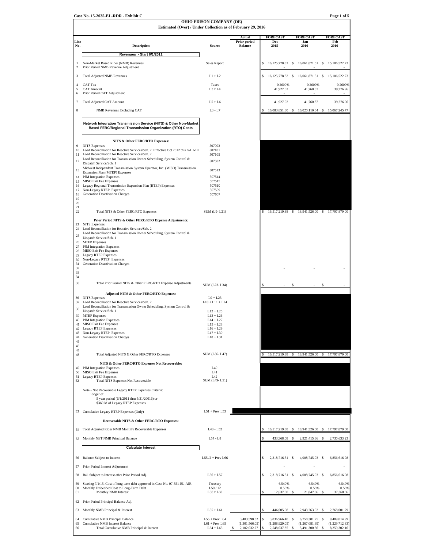| Case No. 15-2035-EL-RDR - Exhibit C | $\pm$ of 5<br>Page. |
|-------------------------------------|---------------------|
|                                     |                     |

# **OHIO EDISON COMPANY (OE)**

| <b>FORECAST</b><br><b>FORECAST</b><br><b>FORECAST</b><br>Actual<br>Prior period<br>Feb<br>Line<br>Dec<br>Jan<br>2016<br><b>Balance</b><br>2015<br>2016<br>No.<br><b>Description</b><br>Source<br>Revenues - Start 6/1/2011<br>Non-Market Based Rider (NMB) Revenues<br>Sales Report<br>s<br>16,125,778.82 \$<br>16,061,871.51 \$ 15,106,522.73<br>1<br>Prior Period NMB Revenue Adjustment<br>2<br>3<br><b>Total Adjusted NMB Revenues</b><br>$L1 + L2$<br>16,125,778.82 \$<br>16,061,871.51 \$<br>s<br>$\overline{4}$<br>CAT Tax<br>Taxes<br>0.2600%<br>0.2600%<br><b>CAT Amount</b><br>41,927.02<br>41,760.87<br>5<br>L3 x L4<br>Prior Period CAT Adjustment<br>6<br>7<br>Total Adjusted CAT Amount<br>$L5+L6$<br>41,927.02<br>41,760.87<br>8<br><b>NMB Revenues Excluding CAT</b><br>$L3 - L7$<br>16,083,851.80 \$<br>16,020,110.64 \$<br>Network Integration Transmission Service (NITS) & Other Non-Market<br><b>Based FERC/Regional Transmission Organization (RTO) Costs</b><br>NITS & Other FERC/RTO Expenses:<br>507003<br>9<br><b>NITS</b> Expenses<br>Load Reconciliation for Reactive Services/Sch. 2 Effective Oct 2012 this G/L will<br>507101<br>10<br>Load Reconciliation for Reactive Services/Sch. 2<br>507105<br>11<br>Load Reconciliation for Transmission Owner Scheduling, System Control &<br>12<br>507502<br>Dispatch Service/Sch. 1<br>Midwest Independent Transmission System Operator, Inc. (MISO) Transmission<br>13<br>507513<br>Expansion Plan (MTEP) Expenses<br>PJM Integration Expenses<br>14<br>507514<br>MISO Exit Fee Expenses<br>507515<br>15<br>Legacy Regional Transmission Expansion Plan (RTEP) Expenses<br>507510<br>16<br>Non-Legacy RTEP Expenses<br>507509<br>17<br>Generation Deactivation Charges<br>18<br>507007<br>19<br>20<br>21<br>22<br>Total NITS & Other FERC/RTO Expenses<br>SUM (L9-L21)<br>16,517,219.88 \$<br>18,941,526.00 \$ 17,797,879.00<br>Prior Period NITS & Other FERC/RTO Expense Adjustments:<br><b>NITS</b> Expenses<br>23<br>Load Reconciliation for Reactive Services/Sch. 2<br>24<br>Load Reconciliation for Transmission Owner Scheduling, System Control &<br>25<br>Dispatch Service/Sch. 1<br>26 MTEP Expenses<br>27 PJM Integration Expenses<br>28 MISO Exit Fee Expenses<br>Legacy RTEP Expenses<br>29<br>30<br>Non-Legacy RTEP Expenses<br>31<br>Generation Deactivation Charges<br>32<br>33<br>34<br>35<br>Total Prior Period NITS & Other FERC/RTO Expense Adjustments<br>\$<br>\$<br>SUM (L23-L34)<br>Adjusted NITS & Other FERC/RTO Expenses:<br><b>NITS</b> Expenses<br>36<br>$L9 + L23$<br>37 Load Reconciliation for Reactive Services/Sch. 2<br>$L10 + L11 + L24$<br>Load Reconciliation for Transmission Owner Scheduling, System Control &<br>38<br>Dispatch Service/Sch. 1<br>$L12 + L25$<br>39 MTEP Expenses<br>$L13 + L26$<br>40<br>PJM Integration Expenses<br>$L14 + L27$<br>MISO Exit Fee Expenses<br>41<br>$L15 + L28$<br>42 Legacy RTEP Expenses<br>$L16 + L29$<br>43<br>Non-Legacy RTEP Expenses<br>$L17 + L30$<br>Generation Deactivation Charges<br>44<br>$L18 + L31$<br>45<br>46<br>47<br>SUM (L36-L47)<br>48<br>Total Adjusted NITS & Other FERC/RTO Expenses<br>16,517,219.88<br>17,797,879.00<br>S<br>18,941,526.00<br>s<br>NITS & Other FERC/RTO Expenses Not Recoverable:<br><b>PJM</b> Integration Expenses<br>49<br>L40<br>MISO Exit Fee Expenses<br>L41<br>50<br><b>Legacy RTEP Expenses</b><br>L42<br>51<br>SUM (L49-L51)<br>52<br><b>Total NITS Expenses Not Recoverable</b><br>Note - Not Recoverable Legacy RTEP Expenses Criteria:<br>Longer of:<br>5 year period (6/1/2011 thru 5/31/20016) or<br>\$360 M of Legacy RTEP Expenses<br>$L51 + Prev L53$<br>53<br>Cumulative Legacy RTEP Expenses (Only)<br>Recoverable NITS & Other FERC/RTO Expenses:<br>54 Total Adjusted Rider NMB Monthly Recoverable Expenses<br>L48 - L52<br>16,517,219.88<br>18,941,526.00<br>- S<br>-S<br>$L54 - L8$<br>55 Monthly NET NMB Principal Balance<br>433,368.08<br>\$<br>2,921,415.36 \$<br><b>Calculate Interest</b><br>56 Balance Subject to Interest<br>$L55/2$ + Prev L66<br>\$<br>2,318,716.31 \$<br>4,008,745.03 \$<br>57<br>Prior Period Interest Adjustment<br>58<br>Bal. Subject to Interest after Prior Period Adj.<br>$L56 + L57$<br>\$<br>2,318,716.31<br>-S<br>4,008,745.03 \$<br>59<br>Starting 7/1/15, Cost of long-term debt approved in Case No. 07-551-EL-AIR<br>Treasury<br>6.540%<br>6.540%<br>60<br>Monthly Embedded Cost to Long-Term Debt<br>L59/12<br>0.55%<br>0.55%<br>61<br>Monthly NMB Interest<br>L58 x L60<br>12,637.00<br>21,847.66<br>Prior Period Principal Balance Adj.<br>62<br>63<br>Monthly NMB Principal & Interest<br>$L55 + L61$<br>446,005.08<br>2,943,263.02<br>64<br>Cumulative NMB Principal Balance<br>$L55 + Prev L64$<br>3,403,598.32<br>\$<br>3,836,966.40<br>-S<br>6,758,381.75 \$<br>9,489,014.99 | Estimated (Over) / Under Collection as of February 29, 2016 |  |  |                                |
|-------------------------------------------------------------------------------------------------------------------------------------------------------------------------------------------------------------------------------------------------------------------------------------------------------------------------------------------------------------------------------------------------------------------------------------------------------------------------------------------------------------------------------------------------------------------------------------------------------------------------------------------------------------------------------------------------------------------------------------------------------------------------------------------------------------------------------------------------------------------------------------------------------------------------------------------------------------------------------------------------------------------------------------------------------------------------------------------------------------------------------------------------------------------------------------------------------------------------------------------------------------------------------------------------------------------------------------------------------------------------------------------------------------------------------------------------------------------------------------------------------------------------------------------------------------------------------------------------------------------------------------------------------------------------------------------------------------------------------------------------------------------------------------------------------------------------------------------------------------------------------------------------------------------------------------------------------------------------------------------------------------------------------------------------------------------------------------------------------------------------------------------------------------------------------------------------------------------------------------------------------------------------------------------------------------------------------------------------------------------------------------------------------------------------------------------------------------------------------------------------------------------------------------------------------------------------------------------------------------------------------------------------------------------------------------------------------------------------------------------------------------------------------------------------------------------------------------------------------------------------------------------------------------------------------------------------------------------------------------------------------------------------------------------------------------------------------------------------------------------------------------------------------------------------------------------------------------------------------------------------------------------------------------------------------------------------------------------------------------------------------------------------------------------------------------------------------------------------------------------------------------------------------------------------------------------------------------------------------------------------------------------------------------------------------------------------------------------------------------------------------------------------------------------------------------------------------------------------------------------------------------------------------------------------------------------------------------------------------------------------------------------------------------------------------------------------------------------------------------------------------------------------------------------------------------------------------------------------------------------------------------------------------------------------------------------------------------------------------------------------------------------------------------------------------------------------------------------------------------------------------------------------------------------------------------------------------------------------------------------------------------------------------------------------------------------------------------------------------------------------------------------------------------------------------------------------------------------------------|-------------------------------------------------------------|--|--|--------------------------------|
|                                                                                                                                                                                                                                                                                                                                                                                                                                                                                                                                                                                                                                                                                                                                                                                                                                                                                                                                                                                                                                                                                                                                                                                                                                                                                                                                                                                                                                                                                                                                                                                                                                                                                                                                                                                                                                                                                                                                                                                                                                                                                                                                                                                                                                                                                                                                                                                                                                                                                                                                                                                                                                                                                                                                                                                                                                                                                                                                                                                                                                                                                                                                                                                                                                                                                                                                                                                                                                                                                                                                                                                                                                                                                                                                                                                                                                                                                                                                                                                                                                                                                                                                                                                                                                                                                                                                                                                                                                                                                                                                                                                                                                                                                                                                                                                                                                                       |                                                             |  |  |                                |
|                                                                                                                                                                                                                                                                                                                                                                                                                                                                                                                                                                                                                                                                                                                                                                                                                                                                                                                                                                                                                                                                                                                                                                                                                                                                                                                                                                                                                                                                                                                                                                                                                                                                                                                                                                                                                                                                                                                                                                                                                                                                                                                                                                                                                                                                                                                                                                                                                                                                                                                                                                                                                                                                                                                                                                                                                                                                                                                                                                                                                                                                                                                                                                                                                                                                                                                                                                                                                                                                                                                                                                                                                                                                                                                                                                                                                                                                                                                                                                                                                                                                                                                                                                                                                                                                                                                                                                                                                                                                                                                                                                                                                                                                                                                                                                                                                                                       |                                                             |  |  |                                |
|                                                                                                                                                                                                                                                                                                                                                                                                                                                                                                                                                                                                                                                                                                                                                                                                                                                                                                                                                                                                                                                                                                                                                                                                                                                                                                                                                                                                                                                                                                                                                                                                                                                                                                                                                                                                                                                                                                                                                                                                                                                                                                                                                                                                                                                                                                                                                                                                                                                                                                                                                                                                                                                                                                                                                                                                                                                                                                                                                                                                                                                                                                                                                                                                                                                                                                                                                                                                                                                                                                                                                                                                                                                                                                                                                                                                                                                                                                                                                                                                                                                                                                                                                                                                                                                                                                                                                                                                                                                                                                                                                                                                                                                                                                                                                                                                                                                       |                                                             |  |  |                                |
|                                                                                                                                                                                                                                                                                                                                                                                                                                                                                                                                                                                                                                                                                                                                                                                                                                                                                                                                                                                                                                                                                                                                                                                                                                                                                                                                                                                                                                                                                                                                                                                                                                                                                                                                                                                                                                                                                                                                                                                                                                                                                                                                                                                                                                                                                                                                                                                                                                                                                                                                                                                                                                                                                                                                                                                                                                                                                                                                                                                                                                                                                                                                                                                                                                                                                                                                                                                                                                                                                                                                                                                                                                                                                                                                                                                                                                                                                                                                                                                                                                                                                                                                                                                                                                                                                                                                                                                                                                                                                                                                                                                                                                                                                                                                                                                                                                                       |                                                             |  |  |                                |
|                                                                                                                                                                                                                                                                                                                                                                                                                                                                                                                                                                                                                                                                                                                                                                                                                                                                                                                                                                                                                                                                                                                                                                                                                                                                                                                                                                                                                                                                                                                                                                                                                                                                                                                                                                                                                                                                                                                                                                                                                                                                                                                                                                                                                                                                                                                                                                                                                                                                                                                                                                                                                                                                                                                                                                                                                                                                                                                                                                                                                                                                                                                                                                                                                                                                                                                                                                                                                                                                                                                                                                                                                                                                                                                                                                                                                                                                                                                                                                                                                                                                                                                                                                                                                                                                                                                                                                                                                                                                                                                                                                                                                                                                                                                                                                                                                                                       |                                                             |  |  | 15,106,522.73                  |
|                                                                                                                                                                                                                                                                                                                                                                                                                                                                                                                                                                                                                                                                                                                                                                                                                                                                                                                                                                                                                                                                                                                                                                                                                                                                                                                                                                                                                                                                                                                                                                                                                                                                                                                                                                                                                                                                                                                                                                                                                                                                                                                                                                                                                                                                                                                                                                                                                                                                                                                                                                                                                                                                                                                                                                                                                                                                                                                                                                                                                                                                                                                                                                                                                                                                                                                                                                                                                                                                                                                                                                                                                                                                                                                                                                                                                                                                                                                                                                                                                                                                                                                                                                                                                                                                                                                                                                                                                                                                                                                                                                                                                                                                                                                                                                                                                                                       |                                                             |  |  | 0.2600%                        |
|                                                                                                                                                                                                                                                                                                                                                                                                                                                                                                                                                                                                                                                                                                                                                                                                                                                                                                                                                                                                                                                                                                                                                                                                                                                                                                                                                                                                                                                                                                                                                                                                                                                                                                                                                                                                                                                                                                                                                                                                                                                                                                                                                                                                                                                                                                                                                                                                                                                                                                                                                                                                                                                                                                                                                                                                                                                                                                                                                                                                                                                                                                                                                                                                                                                                                                                                                                                                                                                                                                                                                                                                                                                                                                                                                                                                                                                                                                                                                                                                                                                                                                                                                                                                                                                                                                                                                                                                                                                                                                                                                                                                                                                                                                                                                                                                                                                       |                                                             |  |  | 39,276.96                      |
|                                                                                                                                                                                                                                                                                                                                                                                                                                                                                                                                                                                                                                                                                                                                                                                                                                                                                                                                                                                                                                                                                                                                                                                                                                                                                                                                                                                                                                                                                                                                                                                                                                                                                                                                                                                                                                                                                                                                                                                                                                                                                                                                                                                                                                                                                                                                                                                                                                                                                                                                                                                                                                                                                                                                                                                                                                                                                                                                                                                                                                                                                                                                                                                                                                                                                                                                                                                                                                                                                                                                                                                                                                                                                                                                                                                                                                                                                                                                                                                                                                                                                                                                                                                                                                                                                                                                                                                                                                                                                                                                                                                                                                                                                                                                                                                                                                                       |                                                             |  |  | 39,276.96                      |
|                                                                                                                                                                                                                                                                                                                                                                                                                                                                                                                                                                                                                                                                                                                                                                                                                                                                                                                                                                                                                                                                                                                                                                                                                                                                                                                                                                                                                                                                                                                                                                                                                                                                                                                                                                                                                                                                                                                                                                                                                                                                                                                                                                                                                                                                                                                                                                                                                                                                                                                                                                                                                                                                                                                                                                                                                                                                                                                                                                                                                                                                                                                                                                                                                                                                                                                                                                                                                                                                                                                                                                                                                                                                                                                                                                                                                                                                                                                                                                                                                                                                                                                                                                                                                                                                                                                                                                                                                                                                                                                                                                                                                                                                                                                                                                                                                                                       |                                                             |  |  | 15,067,245.77                  |
|                                                                                                                                                                                                                                                                                                                                                                                                                                                                                                                                                                                                                                                                                                                                                                                                                                                                                                                                                                                                                                                                                                                                                                                                                                                                                                                                                                                                                                                                                                                                                                                                                                                                                                                                                                                                                                                                                                                                                                                                                                                                                                                                                                                                                                                                                                                                                                                                                                                                                                                                                                                                                                                                                                                                                                                                                                                                                                                                                                                                                                                                                                                                                                                                                                                                                                                                                                                                                                                                                                                                                                                                                                                                                                                                                                                                                                                                                                                                                                                                                                                                                                                                                                                                                                                                                                                                                                                                                                                                                                                                                                                                                                                                                                                                                                                                                                                       |                                                             |  |  |                                |
|                                                                                                                                                                                                                                                                                                                                                                                                                                                                                                                                                                                                                                                                                                                                                                                                                                                                                                                                                                                                                                                                                                                                                                                                                                                                                                                                                                                                                                                                                                                                                                                                                                                                                                                                                                                                                                                                                                                                                                                                                                                                                                                                                                                                                                                                                                                                                                                                                                                                                                                                                                                                                                                                                                                                                                                                                                                                                                                                                                                                                                                                                                                                                                                                                                                                                                                                                                                                                                                                                                                                                                                                                                                                                                                                                                                                                                                                                                                                                                                                                                                                                                                                                                                                                                                                                                                                                                                                                                                                                                                                                                                                                                                                                                                                                                                                                                                       |                                                             |  |  |                                |
|                                                                                                                                                                                                                                                                                                                                                                                                                                                                                                                                                                                                                                                                                                                                                                                                                                                                                                                                                                                                                                                                                                                                                                                                                                                                                                                                                                                                                                                                                                                                                                                                                                                                                                                                                                                                                                                                                                                                                                                                                                                                                                                                                                                                                                                                                                                                                                                                                                                                                                                                                                                                                                                                                                                                                                                                                                                                                                                                                                                                                                                                                                                                                                                                                                                                                                                                                                                                                                                                                                                                                                                                                                                                                                                                                                                                                                                                                                                                                                                                                                                                                                                                                                                                                                                                                                                                                                                                                                                                                                                                                                                                                                                                                                                                                                                                                                                       |                                                             |  |  |                                |
|                                                                                                                                                                                                                                                                                                                                                                                                                                                                                                                                                                                                                                                                                                                                                                                                                                                                                                                                                                                                                                                                                                                                                                                                                                                                                                                                                                                                                                                                                                                                                                                                                                                                                                                                                                                                                                                                                                                                                                                                                                                                                                                                                                                                                                                                                                                                                                                                                                                                                                                                                                                                                                                                                                                                                                                                                                                                                                                                                                                                                                                                                                                                                                                                                                                                                                                                                                                                                                                                                                                                                                                                                                                                                                                                                                                                                                                                                                                                                                                                                                                                                                                                                                                                                                                                                                                                                                                                                                                                                                                                                                                                                                                                                                                                                                                                                                                       |                                                             |  |  |                                |
|                                                                                                                                                                                                                                                                                                                                                                                                                                                                                                                                                                                                                                                                                                                                                                                                                                                                                                                                                                                                                                                                                                                                                                                                                                                                                                                                                                                                                                                                                                                                                                                                                                                                                                                                                                                                                                                                                                                                                                                                                                                                                                                                                                                                                                                                                                                                                                                                                                                                                                                                                                                                                                                                                                                                                                                                                                                                                                                                                                                                                                                                                                                                                                                                                                                                                                                                                                                                                                                                                                                                                                                                                                                                                                                                                                                                                                                                                                                                                                                                                                                                                                                                                                                                                                                                                                                                                                                                                                                                                                                                                                                                                                                                                                                                                                                                                                                       |                                                             |  |  |                                |
|                                                                                                                                                                                                                                                                                                                                                                                                                                                                                                                                                                                                                                                                                                                                                                                                                                                                                                                                                                                                                                                                                                                                                                                                                                                                                                                                                                                                                                                                                                                                                                                                                                                                                                                                                                                                                                                                                                                                                                                                                                                                                                                                                                                                                                                                                                                                                                                                                                                                                                                                                                                                                                                                                                                                                                                                                                                                                                                                                                                                                                                                                                                                                                                                                                                                                                                                                                                                                                                                                                                                                                                                                                                                                                                                                                                                                                                                                                                                                                                                                                                                                                                                                                                                                                                                                                                                                                                                                                                                                                                                                                                                                                                                                                                                                                                                                                                       |                                                             |  |  |                                |
|                                                                                                                                                                                                                                                                                                                                                                                                                                                                                                                                                                                                                                                                                                                                                                                                                                                                                                                                                                                                                                                                                                                                                                                                                                                                                                                                                                                                                                                                                                                                                                                                                                                                                                                                                                                                                                                                                                                                                                                                                                                                                                                                                                                                                                                                                                                                                                                                                                                                                                                                                                                                                                                                                                                                                                                                                                                                                                                                                                                                                                                                                                                                                                                                                                                                                                                                                                                                                                                                                                                                                                                                                                                                                                                                                                                                                                                                                                                                                                                                                                                                                                                                                                                                                                                                                                                                                                                                                                                                                                                                                                                                                                                                                                                                                                                                                                                       |                                                             |  |  |                                |
|                                                                                                                                                                                                                                                                                                                                                                                                                                                                                                                                                                                                                                                                                                                                                                                                                                                                                                                                                                                                                                                                                                                                                                                                                                                                                                                                                                                                                                                                                                                                                                                                                                                                                                                                                                                                                                                                                                                                                                                                                                                                                                                                                                                                                                                                                                                                                                                                                                                                                                                                                                                                                                                                                                                                                                                                                                                                                                                                                                                                                                                                                                                                                                                                                                                                                                                                                                                                                                                                                                                                                                                                                                                                                                                                                                                                                                                                                                                                                                                                                                                                                                                                                                                                                                                                                                                                                                                                                                                                                                                                                                                                                                                                                                                                                                                                                                                       |                                                             |  |  |                                |
|                                                                                                                                                                                                                                                                                                                                                                                                                                                                                                                                                                                                                                                                                                                                                                                                                                                                                                                                                                                                                                                                                                                                                                                                                                                                                                                                                                                                                                                                                                                                                                                                                                                                                                                                                                                                                                                                                                                                                                                                                                                                                                                                                                                                                                                                                                                                                                                                                                                                                                                                                                                                                                                                                                                                                                                                                                                                                                                                                                                                                                                                                                                                                                                                                                                                                                                                                                                                                                                                                                                                                                                                                                                                                                                                                                                                                                                                                                                                                                                                                                                                                                                                                                                                                                                                                                                                                                                                                                                                                                                                                                                                                                                                                                                                                                                                                                                       |                                                             |  |  |                                |
|                                                                                                                                                                                                                                                                                                                                                                                                                                                                                                                                                                                                                                                                                                                                                                                                                                                                                                                                                                                                                                                                                                                                                                                                                                                                                                                                                                                                                                                                                                                                                                                                                                                                                                                                                                                                                                                                                                                                                                                                                                                                                                                                                                                                                                                                                                                                                                                                                                                                                                                                                                                                                                                                                                                                                                                                                                                                                                                                                                                                                                                                                                                                                                                                                                                                                                                                                                                                                                                                                                                                                                                                                                                                                                                                                                                                                                                                                                                                                                                                                                                                                                                                                                                                                                                                                                                                                                                                                                                                                                                                                                                                                                                                                                                                                                                                                                                       |                                                             |  |  |                                |
|                                                                                                                                                                                                                                                                                                                                                                                                                                                                                                                                                                                                                                                                                                                                                                                                                                                                                                                                                                                                                                                                                                                                                                                                                                                                                                                                                                                                                                                                                                                                                                                                                                                                                                                                                                                                                                                                                                                                                                                                                                                                                                                                                                                                                                                                                                                                                                                                                                                                                                                                                                                                                                                                                                                                                                                                                                                                                                                                                                                                                                                                                                                                                                                                                                                                                                                                                                                                                                                                                                                                                                                                                                                                                                                                                                                                                                                                                                                                                                                                                                                                                                                                                                                                                                                                                                                                                                                                                                                                                                                                                                                                                                                                                                                                                                                                                                                       |                                                             |  |  |                                |
|                                                                                                                                                                                                                                                                                                                                                                                                                                                                                                                                                                                                                                                                                                                                                                                                                                                                                                                                                                                                                                                                                                                                                                                                                                                                                                                                                                                                                                                                                                                                                                                                                                                                                                                                                                                                                                                                                                                                                                                                                                                                                                                                                                                                                                                                                                                                                                                                                                                                                                                                                                                                                                                                                                                                                                                                                                                                                                                                                                                                                                                                                                                                                                                                                                                                                                                                                                                                                                                                                                                                                                                                                                                                                                                                                                                                                                                                                                                                                                                                                                                                                                                                                                                                                                                                                                                                                                                                                                                                                                                                                                                                                                                                                                                                                                                                                                                       |                                                             |  |  |                                |
|                                                                                                                                                                                                                                                                                                                                                                                                                                                                                                                                                                                                                                                                                                                                                                                                                                                                                                                                                                                                                                                                                                                                                                                                                                                                                                                                                                                                                                                                                                                                                                                                                                                                                                                                                                                                                                                                                                                                                                                                                                                                                                                                                                                                                                                                                                                                                                                                                                                                                                                                                                                                                                                                                                                                                                                                                                                                                                                                                                                                                                                                                                                                                                                                                                                                                                                                                                                                                                                                                                                                                                                                                                                                                                                                                                                                                                                                                                                                                                                                                                                                                                                                                                                                                                                                                                                                                                                                                                                                                                                                                                                                                                                                                                                                                                                                                                                       |                                                             |  |  |                                |
|                                                                                                                                                                                                                                                                                                                                                                                                                                                                                                                                                                                                                                                                                                                                                                                                                                                                                                                                                                                                                                                                                                                                                                                                                                                                                                                                                                                                                                                                                                                                                                                                                                                                                                                                                                                                                                                                                                                                                                                                                                                                                                                                                                                                                                                                                                                                                                                                                                                                                                                                                                                                                                                                                                                                                                                                                                                                                                                                                                                                                                                                                                                                                                                                                                                                                                                                                                                                                                                                                                                                                                                                                                                                                                                                                                                                                                                                                                                                                                                                                                                                                                                                                                                                                                                                                                                                                                                                                                                                                                                                                                                                                                                                                                                                                                                                                                                       |                                                             |  |  |                                |
|                                                                                                                                                                                                                                                                                                                                                                                                                                                                                                                                                                                                                                                                                                                                                                                                                                                                                                                                                                                                                                                                                                                                                                                                                                                                                                                                                                                                                                                                                                                                                                                                                                                                                                                                                                                                                                                                                                                                                                                                                                                                                                                                                                                                                                                                                                                                                                                                                                                                                                                                                                                                                                                                                                                                                                                                                                                                                                                                                                                                                                                                                                                                                                                                                                                                                                                                                                                                                                                                                                                                                                                                                                                                                                                                                                                                                                                                                                                                                                                                                                                                                                                                                                                                                                                                                                                                                                                                                                                                                                                                                                                                                                                                                                                                                                                                                                                       |                                                             |  |  |                                |
|                                                                                                                                                                                                                                                                                                                                                                                                                                                                                                                                                                                                                                                                                                                                                                                                                                                                                                                                                                                                                                                                                                                                                                                                                                                                                                                                                                                                                                                                                                                                                                                                                                                                                                                                                                                                                                                                                                                                                                                                                                                                                                                                                                                                                                                                                                                                                                                                                                                                                                                                                                                                                                                                                                                                                                                                                                                                                                                                                                                                                                                                                                                                                                                                                                                                                                                                                                                                                                                                                                                                                                                                                                                                                                                                                                                                                                                                                                                                                                                                                                                                                                                                                                                                                                                                                                                                                                                                                                                                                                                                                                                                                                                                                                                                                                                                                                                       |                                                             |  |  |                                |
|                                                                                                                                                                                                                                                                                                                                                                                                                                                                                                                                                                                                                                                                                                                                                                                                                                                                                                                                                                                                                                                                                                                                                                                                                                                                                                                                                                                                                                                                                                                                                                                                                                                                                                                                                                                                                                                                                                                                                                                                                                                                                                                                                                                                                                                                                                                                                                                                                                                                                                                                                                                                                                                                                                                                                                                                                                                                                                                                                                                                                                                                                                                                                                                                                                                                                                                                                                                                                                                                                                                                                                                                                                                                                                                                                                                                                                                                                                                                                                                                                                                                                                                                                                                                                                                                                                                                                                                                                                                                                                                                                                                                                                                                                                                                                                                                                                                       |                                                             |  |  |                                |
|                                                                                                                                                                                                                                                                                                                                                                                                                                                                                                                                                                                                                                                                                                                                                                                                                                                                                                                                                                                                                                                                                                                                                                                                                                                                                                                                                                                                                                                                                                                                                                                                                                                                                                                                                                                                                                                                                                                                                                                                                                                                                                                                                                                                                                                                                                                                                                                                                                                                                                                                                                                                                                                                                                                                                                                                                                                                                                                                                                                                                                                                                                                                                                                                                                                                                                                                                                                                                                                                                                                                                                                                                                                                                                                                                                                                                                                                                                                                                                                                                                                                                                                                                                                                                                                                                                                                                                                                                                                                                                                                                                                                                                                                                                                                                                                                                                                       |                                                             |  |  |                                |
|                                                                                                                                                                                                                                                                                                                                                                                                                                                                                                                                                                                                                                                                                                                                                                                                                                                                                                                                                                                                                                                                                                                                                                                                                                                                                                                                                                                                                                                                                                                                                                                                                                                                                                                                                                                                                                                                                                                                                                                                                                                                                                                                                                                                                                                                                                                                                                                                                                                                                                                                                                                                                                                                                                                                                                                                                                                                                                                                                                                                                                                                                                                                                                                                                                                                                                                                                                                                                                                                                                                                                                                                                                                                                                                                                                                                                                                                                                                                                                                                                                                                                                                                                                                                                                                                                                                                                                                                                                                                                                                                                                                                                                                                                                                                                                                                                                                       |                                                             |  |  |                                |
|                                                                                                                                                                                                                                                                                                                                                                                                                                                                                                                                                                                                                                                                                                                                                                                                                                                                                                                                                                                                                                                                                                                                                                                                                                                                                                                                                                                                                                                                                                                                                                                                                                                                                                                                                                                                                                                                                                                                                                                                                                                                                                                                                                                                                                                                                                                                                                                                                                                                                                                                                                                                                                                                                                                                                                                                                                                                                                                                                                                                                                                                                                                                                                                                                                                                                                                                                                                                                                                                                                                                                                                                                                                                                                                                                                                                                                                                                                                                                                                                                                                                                                                                                                                                                                                                                                                                                                                                                                                                                                                                                                                                                                                                                                                                                                                                                                                       |                                                             |  |  |                                |
|                                                                                                                                                                                                                                                                                                                                                                                                                                                                                                                                                                                                                                                                                                                                                                                                                                                                                                                                                                                                                                                                                                                                                                                                                                                                                                                                                                                                                                                                                                                                                                                                                                                                                                                                                                                                                                                                                                                                                                                                                                                                                                                                                                                                                                                                                                                                                                                                                                                                                                                                                                                                                                                                                                                                                                                                                                                                                                                                                                                                                                                                                                                                                                                                                                                                                                                                                                                                                                                                                                                                                                                                                                                                                                                                                                                                                                                                                                                                                                                                                                                                                                                                                                                                                                                                                                                                                                                                                                                                                                                                                                                                                                                                                                                                                                                                                                                       |                                                             |  |  |                                |
|                                                                                                                                                                                                                                                                                                                                                                                                                                                                                                                                                                                                                                                                                                                                                                                                                                                                                                                                                                                                                                                                                                                                                                                                                                                                                                                                                                                                                                                                                                                                                                                                                                                                                                                                                                                                                                                                                                                                                                                                                                                                                                                                                                                                                                                                                                                                                                                                                                                                                                                                                                                                                                                                                                                                                                                                                                                                                                                                                                                                                                                                                                                                                                                                                                                                                                                                                                                                                                                                                                                                                                                                                                                                                                                                                                                                                                                                                                                                                                                                                                                                                                                                                                                                                                                                                                                                                                                                                                                                                                                                                                                                                                                                                                                                                                                                                                                       |                                                             |  |  |                                |
|                                                                                                                                                                                                                                                                                                                                                                                                                                                                                                                                                                                                                                                                                                                                                                                                                                                                                                                                                                                                                                                                                                                                                                                                                                                                                                                                                                                                                                                                                                                                                                                                                                                                                                                                                                                                                                                                                                                                                                                                                                                                                                                                                                                                                                                                                                                                                                                                                                                                                                                                                                                                                                                                                                                                                                                                                                                                                                                                                                                                                                                                                                                                                                                                                                                                                                                                                                                                                                                                                                                                                                                                                                                                                                                                                                                                                                                                                                                                                                                                                                                                                                                                                                                                                                                                                                                                                                                                                                                                                                                                                                                                                                                                                                                                                                                                                                                       |                                                             |  |  |                                |
|                                                                                                                                                                                                                                                                                                                                                                                                                                                                                                                                                                                                                                                                                                                                                                                                                                                                                                                                                                                                                                                                                                                                                                                                                                                                                                                                                                                                                                                                                                                                                                                                                                                                                                                                                                                                                                                                                                                                                                                                                                                                                                                                                                                                                                                                                                                                                                                                                                                                                                                                                                                                                                                                                                                                                                                                                                                                                                                                                                                                                                                                                                                                                                                                                                                                                                                                                                                                                                                                                                                                                                                                                                                                                                                                                                                                                                                                                                                                                                                                                                                                                                                                                                                                                                                                                                                                                                                                                                                                                                                                                                                                                                                                                                                                                                                                                                                       |                                                             |  |  |                                |
|                                                                                                                                                                                                                                                                                                                                                                                                                                                                                                                                                                                                                                                                                                                                                                                                                                                                                                                                                                                                                                                                                                                                                                                                                                                                                                                                                                                                                                                                                                                                                                                                                                                                                                                                                                                                                                                                                                                                                                                                                                                                                                                                                                                                                                                                                                                                                                                                                                                                                                                                                                                                                                                                                                                                                                                                                                                                                                                                                                                                                                                                                                                                                                                                                                                                                                                                                                                                                                                                                                                                                                                                                                                                                                                                                                                                                                                                                                                                                                                                                                                                                                                                                                                                                                                                                                                                                                                                                                                                                                                                                                                                                                                                                                                                                                                                                                                       |                                                             |  |  |                                |
|                                                                                                                                                                                                                                                                                                                                                                                                                                                                                                                                                                                                                                                                                                                                                                                                                                                                                                                                                                                                                                                                                                                                                                                                                                                                                                                                                                                                                                                                                                                                                                                                                                                                                                                                                                                                                                                                                                                                                                                                                                                                                                                                                                                                                                                                                                                                                                                                                                                                                                                                                                                                                                                                                                                                                                                                                                                                                                                                                                                                                                                                                                                                                                                                                                                                                                                                                                                                                                                                                                                                                                                                                                                                                                                                                                                                                                                                                                                                                                                                                                                                                                                                                                                                                                                                                                                                                                                                                                                                                                                                                                                                                                                                                                                                                                                                                                                       |                                                             |  |  |                                |
|                                                                                                                                                                                                                                                                                                                                                                                                                                                                                                                                                                                                                                                                                                                                                                                                                                                                                                                                                                                                                                                                                                                                                                                                                                                                                                                                                                                                                                                                                                                                                                                                                                                                                                                                                                                                                                                                                                                                                                                                                                                                                                                                                                                                                                                                                                                                                                                                                                                                                                                                                                                                                                                                                                                                                                                                                                                                                                                                                                                                                                                                                                                                                                                                                                                                                                                                                                                                                                                                                                                                                                                                                                                                                                                                                                                                                                                                                                                                                                                                                                                                                                                                                                                                                                                                                                                                                                                                                                                                                                                                                                                                                                                                                                                                                                                                                                                       |                                                             |  |  |                                |
|                                                                                                                                                                                                                                                                                                                                                                                                                                                                                                                                                                                                                                                                                                                                                                                                                                                                                                                                                                                                                                                                                                                                                                                                                                                                                                                                                                                                                                                                                                                                                                                                                                                                                                                                                                                                                                                                                                                                                                                                                                                                                                                                                                                                                                                                                                                                                                                                                                                                                                                                                                                                                                                                                                                                                                                                                                                                                                                                                                                                                                                                                                                                                                                                                                                                                                                                                                                                                                                                                                                                                                                                                                                                                                                                                                                                                                                                                                                                                                                                                                                                                                                                                                                                                                                                                                                                                                                                                                                                                                                                                                                                                                                                                                                                                                                                                                                       |                                                             |  |  |                                |
|                                                                                                                                                                                                                                                                                                                                                                                                                                                                                                                                                                                                                                                                                                                                                                                                                                                                                                                                                                                                                                                                                                                                                                                                                                                                                                                                                                                                                                                                                                                                                                                                                                                                                                                                                                                                                                                                                                                                                                                                                                                                                                                                                                                                                                                                                                                                                                                                                                                                                                                                                                                                                                                                                                                                                                                                                                                                                                                                                                                                                                                                                                                                                                                                                                                                                                                                                                                                                                                                                                                                                                                                                                                                                                                                                                                                                                                                                                                                                                                                                                                                                                                                                                                                                                                                                                                                                                                                                                                                                                                                                                                                                                                                                                                                                                                                                                                       |                                                             |  |  |                                |
|                                                                                                                                                                                                                                                                                                                                                                                                                                                                                                                                                                                                                                                                                                                                                                                                                                                                                                                                                                                                                                                                                                                                                                                                                                                                                                                                                                                                                                                                                                                                                                                                                                                                                                                                                                                                                                                                                                                                                                                                                                                                                                                                                                                                                                                                                                                                                                                                                                                                                                                                                                                                                                                                                                                                                                                                                                                                                                                                                                                                                                                                                                                                                                                                                                                                                                                                                                                                                                                                                                                                                                                                                                                                                                                                                                                                                                                                                                                                                                                                                                                                                                                                                                                                                                                                                                                                                                                                                                                                                                                                                                                                                                                                                                                                                                                                                                                       |                                                             |  |  |                                |
|                                                                                                                                                                                                                                                                                                                                                                                                                                                                                                                                                                                                                                                                                                                                                                                                                                                                                                                                                                                                                                                                                                                                                                                                                                                                                                                                                                                                                                                                                                                                                                                                                                                                                                                                                                                                                                                                                                                                                                                                                                                                                                                                                                                                                                                                                                                                                                                                                                                                                                                                                                                                                                                                                                                                                                                                                                                                                                                                                                                                                                                                                                                                                                                                                                                                                                                                                                                                                                                                                                                                                                                                                                                                                                                                                                                                                                                                                                                                                                                                                                                                                                                                                                                                                                                                                                                                                                                                                                                                                                                                                                                                                                                                                                                                                                                                                                                       |                                                             |  |  |                                |
|                                                                                                                                                                                                                                                                                                                                                                                                                                                                                                                                                                                                                                                                                                                                                                                                                                                                                                                                                                                                                                                                                                                                                                                                                                                                                                                                                                                                                                                                                                                                                                                                                                                                                                                                                                                                                                                                                                                                                                                                                                                                                                                                                                                                                                                                                                                                                                                                                                                                                                                                                                                                                                                                                                                                                                                                                                                                                                                                                                                                                                                                                                                                                                                                                                                                                                                                                                                                                                                                                                                                                                                                                                                                                                                                                                                                                                                                                                                                                                                                                                                                                                                                                                                                                                                                                                                                                                                                                                                                                                                                                                                                                                                                                                                                                                                                                                                       |                                                             |  |  |                                |
|                                                                                                                                                                                                                                                                                                                                                                                                                                                                                                                                                                                                                                                                                                                                                                                                                                                                                                                                                                                                                                                                                                                                                                                                                                                                                                                                                                                                                                                                                                                                                                                                                                                                                                                                                                                                                                                                                                                                                                                                                                                                                                                                                                                                                                                                                                                                                                                                                                                                                                                                                                                                                                                                                                                                                                                                                                                                                                                                                                                                                                                                                                                                                                                                                                                                                                                                                                                                                                                                                                                                                                                                                                                                                                                                                                                                                                                                                                                                                                                                                                                                                                                                                                                                                                                                                                                                                                                                                                                                                                                                                                                                                                                                                                                                                                                                                                                       |                                                             |  |  |                                |
|                                                                                                                                                                                                                                                                                                                                                                                                                                                                                                                                                                                                                                                                                                                                                                                                                                                                                                                                                                                                                                                                                                                                                                                                                                                                                                                                                                                                                                                                                                                                                                                                                                                                                                                                                                                                                                                                                                                                                                                                                                                                                                                                                                                                                                                                                                                                                                                                                                                                                                                                                                                                                                                                                                                                                                                                                                                                                                                                                                                                                                                                                                                                                                                                                                                                                                                                                                                                                                                                                                                                                                                                                                                                                                                                                                                                                                                                                                                                                                                                                                                                                                                                                                                                                                                                                                                                                                                                                                                                                                                                                                                                                                                                                                                                                                                                                                                       |                                                             |  |  |                                |
|                                                                                                                                                                                                                                                                                                                                                                                                                                                                                                                                                                                                                                                                                                                                                                                                                                                                                                                                                                                                                                                                                                                                                                                                                                                                                                                                                                                                                                                                                                                                                                                                                                                                                                                                                                                                                                                                                                                                                                                                                                                                                                                                                                                                                                                                                                                                                                                                                                                                                                                                                                                                                                                                                                                                                                                                                                                                                                                                                                                                                                                                                                                                                                                                                                                                                                                                                                                                                                                                                                                                                                                                                                                                                                                                                                                                                                                                                                                                                                                                                                                                                                                                                                                                                                                                                                                                                                                                                                                                                                                                                                                                                                                                                                                                                                                                                                                       |                                                             |  |  |                                |
|                                                                                                                                                                                                                                                                                                                                                                                                                                                                                                                                                                                                                                                                                                                                                                                                                                                                                                                                                                                                                                                                                                                                                                                                                                                                                                                                                                                                                                                                                                                                                                                                                                                                                                                                                                                                                                                                                                                                                                                                                                                                                                                                                                                                                                                                                                                                                                                                                                                                                                                                                                                                                                                                                                                                                                                                                                                                                                                                                                                                                                                                                                                                                                                                                                                                                                                                                                                                                                                                                                                                                                                                                                                                                                                                                                                                                                                                                                                                                                                                                                                                                                                                                                                                                                                                                                                                                                                                                                                                                                                                                                                                                                                                                                                                                                                                                                                       |                                                             |  |  |                                |
|                                                                                                                                                                                                                                                                                                                                                                                                                                                                                                                                                                                                                                                                                                                                                                                                                                                                                                                                                                                                                                                                                                                                                                                                                                                                                                                                                                                                                                                                                                                                                                                                                                                                                                                                                                                                                                                                                                                                                                                                                                                                                                                                                                                                                                                                                                                                                                                                                                                                                                                                                                                                                                                                                                                                                                                                                                                                                                                                                                                                                                                                                                                                                                                                                                                                                                                                                                                                                                                                                                                                                                                                                                                                                                                                                                                                                                                                                                                                                                                                                                                                                                                                                                                                                                                                                                                                                                                                                                                                                                                                                                                                                                                                                                                                                                                                                                                       |                                                             |  |  | 17,797,879.00                  |
|                                                                                                                                                                                                                                                                                                                                                                                                                                                                                                                                                                                                                                                                                                                                                                                                                                                                                                                                                                                                                                                                                                                                                                                                                                                                                                                                                                                                                                                                                                                                                                                                                                                                                                                                                                                                                                                                                                                                                                                                                                                                                                                                                                                                                                                                                                                                                                                                                                                                                                                                                                                                                                                                                                                                                                                                                                                                                                                                                                                                                                                                                                                                                                                                                                                                                                                                                                                                                                                                                                                                                                                                                                                                                                                                                                                                                                                                                                                                                                                                                                                                                                                                                                                                                                                                                                                                                                                                                                                                                                                                                                                                                                                                                                                                                                                                                                                       |                                                             |  |  | 2,730,633.23                   |
|                                                                                                                                                                                                                                                                                                                                                                                                                                                                                                                                                                                                                                                                                                                                                                                                                                                                                                                                                                                                                                                                                                                                                                                                                                                                                                                                                                                                                                                                                                                                                                                                                                                                                                                                                                                                                                                                                                                                                                                                                                                                                                                                                                                                                                                                                                                                                                                                                                                                                                                                                                                                                                                                                                                                                                                                                                                                                                                                                                                                                                                                                                                                                                                                                                                                                                                                                                                                                                                                                                                                                                                                                                                                                                                                                                                                                                                                                                                                                                                                                                                                                                                                                                                                                                                                                                                                                                                                                                                                                                                                                                                                                                                                                                                                                                                                                                                       |                                                             |  |  |                                |
|                                                                                                                                                                                                                                                                                                                                                                                                                                                                                                                                                                                                                                                                                                                                                                                                                                                                                                                                                                                                                                                                                                                                                                                                                                                                                                                                                                                                                                                                                                                                                                                                                                                                                                                                                                                                                                                                                                                                                                                                                                                                                                                                                                                                                                                                                                                                                                                                                                                                                                                                                                                                                                                                                                                                                                                                                                                                                                                                                                                                                                                                                                                                                                                                                                                                                                                                                                                                                                                                                                                                                                                                                                                                                                                                                                                                                                                                                                                                                                                                                                                                                                                                                                                                                                                                                                                                                                                                                                                                                                                                                                                                                                                                                                                                                                                                                                                       |                                                             |  |  | 6,856,616.98                   |
|                                                                                                                                                                                                                                                                                                                                                                                                                                                                                                                                                                                                                                                                                                                                                                                                                                                                                                                                                                                                                                                                                                                                                                                                                                                                                                                                                                                                                                                                                                                                                                                                                                                                                                                                                                                                                                                                                                                                                                                                                                                                                                                                                                                                                                                                                                                                                                                                                                                                                                                                                                                                                                                                                                                                                                                                                                                                                                                                                                                                                                                                                                                                                                                                                                                                                                                                                                                                                                                                                                                                                                                                                                                                                                                                                                                                                                                                                                                                                                                                                                                                                                                                                                                                                                                                                                                                                                                                                                                                                                                                                                                                                                                                                                                                                                                                                                                       |                                                             |  |  |                                |
|                                                                                                                                                                                                                                                                                                                                                                                                                                                                                                                                                                                                                                                                                                                                                                                                                                                                                                                                                                                                                                                                                                                                                                                                                                                                                                                                                                                                                                                                                                                                                                                                                                                                                                                                                                                                                                                                                                                                                                                                                                                                                                                                                                                                                                                                                                                                                                                                                                                                                                                                                                                                                                                                                                                                                                                                                                                                                                                                                                                                                                                                                                                                                                                                                                                                                                                                                                                                                                                                                                                                                                                                                                                                                                                                                                                                                                                                                                                                                                                                                                                                                                                                                                                                                                                                                                                                                                                                                                                                                                                                                                                                                                                                                                                                                                                                                                                       |                                                             |  |  | 6,856,616.98                   |
|                                                                                                                                                                                                                                                                                                                                                                                                                                                                                                                                                                                                                                                                                                                                                                                                                                                                                                                                                                                                                                                                                                                                                                                                                                                                                                                                                                                                                                                                                                                                                                                                                                                                                                                                                                                                                                                                                                                                                                                                                                                                                                                                                                                                                                                                                                                                                                                                                                                                                                                                                                                                                                                                                                                                                                                                                                                                                                                                                                                                                                                                                                                                                                                                                                                                                                                                                                                                                                                                                                                                                                                                                                                                                                                                                                                                                                                                                                                                                                                                                                                                                                                                                                                                                                                                                                                                                                                                                                                                                                                                                                                                                                                                                                                                                                                                                                                       |                                                             |  |  | 6.540%                         |
|                                                                                                                                                                                                                                                                                                                                                                                                                                                                                                                                                                                                                                                                                                                                                                                                                                                                                                                                                                                                                                                                                                                                                                                                                                                                                                                                                                                                                                                                                                                                                                                                                                                                                                                                                                                                                                                                                                                                                                                                                                                                                                                                                                                                                                                                                                                                                                                                                                                                                                                                                                                                                                                                                                                                                                                                                                                                                                                                                                                                                                                                                                                                                                                                                                                                                                                                                                                                                                                                                                                                                                                                                                                                                                                                                                                                                                                                                                                                                                                                                                                                                                                                                                                                                                                                                                                                                                                                                                                                                                                                                                                                                                                                                                                                                                                                                                                       |                                                             |  |  | 0.55%<br>37,368.56             |
|                                                                                                                                                                                                                                                                                                                                                                                                                                                                                                                                                                                                                                                                                                                                                                                                                                                                                                                                                                                                                                                                                                                                                                                                                                                                                                                                                                                                                                                                                                                                                                                                                                                                                                                                                                                                                                                                                                                                                                                                                                                                                                                                                                                                                                                                                                                                                                                                                                                                                                                                                                                                                                                                                                                                                                                                                                                                                                                                                                                                                                                                                                                                                                                                                                                                                                                                                                                                                                                                                                                                                                                                                                                                                                                                                                                                                                                                                                                                                                                                                                                                                                                                                                                                                                                                                                                                                                                                                                                                                                                                                                                                                                                                                                                                                                                                                                                       |                                                             |  |  |                                |
|                                                                                                                                                                                                                                                                                                                                                                                                                                                                                                                                                                                                                                                                                                                                                                                                                                                                                                                                                                                                                                                                                                                                                                                                                                                                                                                                                                                                                                                                                                                                                                                                                                                                                                                                                                                                                                                                                                                                                                                                                                                                                                                                                                                                                                                                                                                                                                                                                                                                                                                                                                                                                                                                                                                                                                                                                                                                                                                                                                                                                                                                                                                                                                                                                                                                                                                                                                                                                                                                                                                                                                                                                                                                                                                                                                                                                                                                                                                                                                                                                                                                                                                                                                                                                                                                                                                                                                                                                                                                                                                                                                                                                                                                                                                                                                                                                                                       |                                                             |  |  | 2,768,001.79                   |
|                                                                                                                                                                                                                                                                                                                                                                                                                                                                                                                                                                                                                                                                                                                                                                                                                                                                                                                                                                                                                                                                                                                                                                                                                                                                                                                                                                                                                                                                                                                                                                                                                                                                                                                                                                                                                                                                                                                                                                                                                                                                                                                                                                                                                                                                                                                                                                                                                                                                                                                                                                                                                                                                                                                                                                                                                                                                                                                                                                                                                                                                                                                                                                                                                                                                                                                                                                                                                                                                                                                                                                                                                                                                                                                                                                                                                                                                                                                                                                                                                                                                                                                                                                                                                                                                                                                                                                                                                                                                                                                                                                                                                                                                                                                                                                                                                                                       |                                                             |  |  |                                |
| <b>Cumulative NMB Interest Balance</b><br>65<br>$L61 + Prev L65$<br>(1,301,566.05)<br>(1,288,929.05)<br>(1,267,081.39)<br>66<br>Total Cumulative NMB Principal & Interest<br>$L64 + L65$<br>2,102,032.27<br>2,548,037.35<br>5,491,300.36<br>S<br>s                                                                                                                                                                                                                                                                                                                                                                                                                                                                                                                                                                                                                                                                                                                                                                                                                                                                                                                                                                                                                                                                                                                                                                                                                                                                                                                                                                                                                                                                                                                                                                                                                                                                                                                                                                                                                                                                                                                                                                                                                                                                                                                                                                                                                                                                                                                                                                                                                                                                                                                                                                                                                                                                                                                                                                                                                                                                                                                                                                                                                                                                                                                                                                                                                                                                                                                                                                                                                                                                                                                                                                                                                                                                                                                                                                                                                                                                                                                                                                                                                                                                                                                                                                                                                                                                                                                                                                                                                                                                                                                                                                                                    |                                                             |  |  | (1,229,712.83)<br>8,259,302.16 |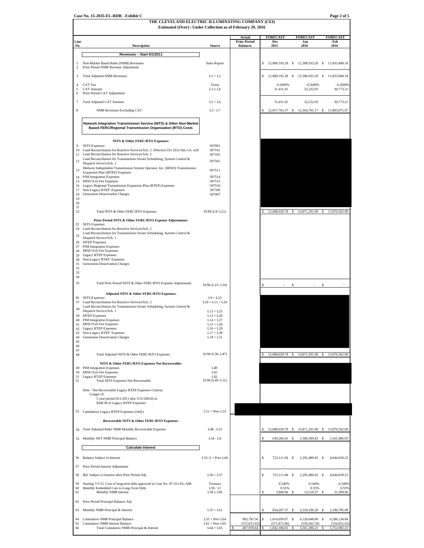**THE CLEVELAND ELECTRIC ILLUMINATING COMPANY (CEI) Estimated (Over) / Under Collection as of February 29, 2016 Actual FORECAST FORECAST FORECAST Prior Parior Prior Line Prior Period Dec Jan Feb Description No. Source Balances 2015 2016 2016 Revenues - Start 6/1/2011** ٦ 12,089.195.28 \$ 12,396.933.20 \$ 11,835.849.18 <a>>
Sales Report \$ 12,089.195.28 \$ 12,396.933.20 \$ 11,835.849.18 Prior Period NMB Revenue Adjustment 3 Total Adjusted NMB Revenues L1 + L2 12,089,195.28 \$ 12,396,933.20 \$ 11,835,849.18 \$ 4 CAT Tax 6 2600% 0.2600% 0.2600% 0.2600% 0.2600% 0.2600% 0.2600% 0.2600% 0.2600% 0.2600% 0.2600% 0.2600% 0.2600 0.2600 0.2600 0.2600 0.2600 0.2600 0.2600 0.2600 0.2600 0.2600 0.2600 0.2600 0.2600 0.2600 0.2600 0.2600 0.26 5 CAT Amount L3 x L4 31,431.91 32,232.03 30,773.21 Prior Period CAT Adjustment 7 Total Adjusted CAT Amount L5 + L6 31,431.91 32,232.03 30,773.21 8 NMB Revenues Excluding CAT L3 - L7 \$ 12,057,763.37 \$ 11,805,075.97 12,364,701.17 \$ **Network Integration Transmission Service (NITS) & Other Non-Market Based FERC/Regional Transmission Organization (RTO) Costs NITS & Other FERC/RTO Expenses:** 9 NITS Expenses 507003 10 507101 Load Reconciliation for Reactive Services/Sch. 2 Effective Oct 2012 this G/L will 11 507105 Load Reconciliation for Reactive Services/Sch. 2 12 507502 Load Reconciliation for Transmission Owner Scheduling, System Control & Dispatch Service/Sch. 1 13 Midwest Independent Transmission System Operator, Inc. (MISO) Transmission 507513 Expansion Plan (MTEP) Expenses 14 507514 PJM Integration Expenses MISO Exit Fee Expenses 15 507515 16 507510 17 507509 Legacy Regional Transmission Expansion Plan (RTEP) Expenses Non-Legacy RTEP Expenses 18 507007 Generation Deactivation Charges 19 20  $\frac{21}{22}$ 22 Total NITS & Other FERC/RTO Expenses SUM (L9- L21) \$ 12,688,029.78 \$ 14,871,291.00 \$ 13,970,562.00 **Prior Period NITS & Other FERC/RTO Expense Adjustments:** 23 NITS Expenses Load Reconciliation for Reactive Services/Sch. 2 24 Load Reconciliation for Transmission Owner Scheduling, System Control & 25 Dispatch Service/Sch. 1 26 MTEP Expenses 27 PJM Integration Expenses 28 MISO Exit Fee Expenses  $29$ Legacy RTEP Expenses Non-Legacy RTEP Expenses 30 31 Generation Deactivation Charges  $\frac{1}{32}$ 33 34 35 Total Prior Period NITS & Other FERC/RTO Expense Adjustments SUM (L23- L34) **Adjusted NITS & Other FERC/RTO Expenses:** 36 NITS Expenses L9 + L23 37 L10 + L11 + L24 Load Reconciliation for Reactive Services/Sch. 2 Load Reconciliation for Transmission Owner Scheduling, System Control & 38 Dispatch Service/Sch. 1 L12 + L25 39 L13 + L26 40 L14 + L27 MTEP Expenses PJM Integration Expenses 41 L15 + L28 MISO Exit Fee Expenses 42 L16 + L29 Legacy RTEP Expenses 43 L17 + L30 44 L18 + L31 Generation Deactivation Charges Non-Legacy RTEP Expenses 45 46  $\frac{17}{48}$ 48 Total Adjusted NITS & Other FERC/RTO Expenses SUM (L36- L47) \$ 12,688,029.78 \$ 14,871, **NITS & Other FERC/RTO Expenses Not Recoverable:** 49 L40 PJM Integration Expenses 50 L41 MISO Exit Fee Expenses51 L42 Legacy RTEP Expenses 52 SUM (L49- L51)<br>52 Total NITS Expenses Not Recoverable SUM (L49- L51) Note - Not Recoverable Legacy RTEP Expenses Criteria: Longer of: 5 year period (6/1/2011 thru 5/31/20016) or \$360 M of Legacy RTEP Expenses 53 L51 + Prev L53 Cumulative Legacy RTEP Expenses (Only) **Recoverable NITS & Other FERC/RTO Expenses:** 54 Total Adjusted Rider NMB Monthly Recoverable Expenses L48 - L52 \$ 12,688,029.78 \$ 14,871,291.00 \$ 13,970,562.00 55 Monthly NET NMB Principal Balance 55 L54 - L8 630,266.41 \$ 2,506,589.83 \$ 2,165,486.03 \$ **Calculate Interest** 56 Balance Subject to Interest L55 /2 + Prev L66 5 723,111.84 \$ 2,295,480.92 \$ 4,644,029.23 57 Prior Period Interest Adjustment 58 Bal. Subject to Interest after Prior Period Adj. L56 + L57 723,111.84 \$ 2,295,480.92 \$ 4,644,029.23 \$ 59 Starting 7/1/15, Cost of long-term debt approved in Case No. 07-551-EL-AIR Treasury 19 12 12 12 0.55% 6.540% 6.540% 6.540% 6.55% 6.540% 6.55% 6.55% 6.55% 6.55% 6.55% 6.55% 6.55% 6.55% 6.55% 6.55% 6.55% 6.55% 6.55% 6.55% 61 Monthly NMB Interest 25,309.96 L58 x L60 S 3,940.96 \$ 12,510.37 \$ 25,309.96 62 Prior Period Principal Balance Adj. 63 Monthly NMB Principal & Interest L55 + L61 \$ 634,207.37 \$ 2,519,100.20 \$ 2,190,795.99 64 Cumulative NMB Principal Balance 26 1.65 1.614,058.97 \$ 1,614,058.97 \$ 4,120,648.80 \$ 6,286,134.84<br>1.61 + Prev L65 1.61 + Prev L65 1.675.813.92) 675.813.92 (571.872.96) (579.962.59) (574.052.63 65 Cumulative NMB Interest Balance L61 + Prev L64 + L65<br>66 Total Cumulative NMB Principal & Interest L64 + L65 Fotal Cumulative NMB Principal & Interest L64 + L65 \$ 407,978.64 \$ 1,042,186.01 \$ 3,561,286.21 \$ 5,561,286.21

**Case No. 15-2035-EL-RDR - Exhibit C Page 2 of 5**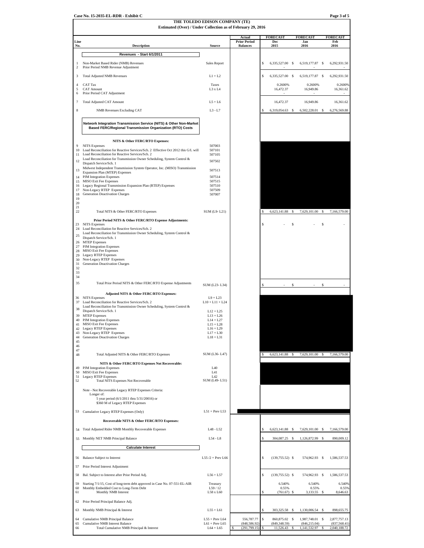**Case No. 15-2035-EL-RDR - Exhibit C Page 3 of 5**

## **THE TOLEDO EDISON COMPANY (TE)**

|                          | Estimated (Over) / Under Collection as of February 29, 2016                                                                                                                    | THE TOLEDO EDISON COMPANY (TE)       |                               |    |                                |    |                                  |    |                               |
|--------------------------|--------------------------------------------------------------------------------------------------------------------------------------------------------------------------------|--------------------------------------|-------------------------------|----|--------------------------------|----|----------------------------------|----|-------------------------------|
| Line                     |                                                                                                                                                                                |                                      | Actual<br><b>Prior Period</b> |    | <b>FORECAST</b><br>Dec         |    | <b>FORECAST</b><br>Jan           |    | <b>FORECAST</b><br>Feb        |
| No.                      | <b>Description</b>                                                                                                                                                             | Source                               | <b>Balances</b>               |    | 2015                           |    | 2016                             |    | 2016                          |
|                          | Revenues - Start 6/1/2011                                                                                                                                                      |                                      |                               |    |                                |    |                                  |    |                               |
| 1<br>2                   | Non-Market Based Rider (NMB) Revenues<br>Prior Period NMB Revenue Adjustment                                                                                                   | Sales Report                         |                               | s  | 6,335,527.00 \$                |    | 6,519,177.87 \$                  |    | 6,292,931.50                  |
| 3                        | <b>Total Adjusted NMB Revenues</b>                                                                                                                                             | $L1 + L2$                            |                               | Ś  | 6,335,527.00 \$                |    | 6,519,177.87 \$                  |    | 6,292,931.50                  |
| $\overline{4}$<br>5<br>6 | CAT Tax<br><b>CAT Amount</b><br>Prior Period CAT Adjustment                                                                                                                    | Taxes<br>L3 x L4                     |                               |    | 0.2600%<br>16,472.37           |    | 0.2600%<br>16,949.86             |    | 0.2600%<br>16,361.62          |
| 7                        | <b>Total Adjusted CAT Amount</b>                                                                                                                                               | $L5+L6$                              |                               |    | 16,472.37                      |    | 16,949.86                        |    | 16,361.62                     |
| 8                        | <b>NMB Revenues Excluding CAT</b>                                                                                                                                              | $L3 - L7$                            |                               | S  | 6,319,054.63 \$                |    | 6,502,228.01 \$                  |    | 6,276,569.88                  |
|                          | Network Integration Transmission Service (NITS) & Other Non-Market<br>Based FERC/Regional Transmission Organization (RTO) Costs                                                |                                      |                               |    |                                |    |                                  |    |                               |
|                          | NITS & Other FERC/RTO Expenses:                                                                                                                                                |                                      |                               |    |                                |    |                                  |    |                               |
| 9<br>10                  | <b>NITS</b> Expenses<br>Load Reconciliation for Reactive Services/Sch. 2 Effective Oct 2012 this G/L will                                                                      | 507003<br>507101                     |                               |    |                                |    |                                  |    |                               |
| 11                       | Load Reconciliation for Reactive Services/Sch. 2<br>Load Reconciliation for Transmission Owner Scheduling, System Control &                                                    | 507105                               |                               |    |                                |    |                                  |    |                               |
| 12                       | Dispatch Service/Sch. 1<br>Midwest Independent Transmission System Operator, Inc. (MISO) Transmission                                                                          | 507502                               |                               |    |                                |    |                                  |    |                               |
| 13                       | Expansion Plan (MTEP) Expenses                                                                                                                                                 | 507513                               |                               |    |                                |    |                                  |    |                               |
| 15                       | 14 PJM Integration Expenses<br>MISO Exit Fee Expenses                                                                                                                          | 507514<br>507515                     |                               |    |                                |    |                                  |    |                               |
| 16                       | Legacy Regional Transmission Expansion Plan (RTEP) Expenses                                                                                                                    | 507510                               |                               |    |                                |    |                                  |    |                               |
| 17<br>18                 | Non-Legacy RTEP Expenses<br><b>Generation Deactivation Charges</b>                                                                                                             | 507509<br>507007                     |                               |    |                                |    |                                  |    |                               |
| 19<br>20                 |                                                                                                                                                                                |                                      |                               |    |                                |    |                                  |    |                               |
| 21<br>22                 | Total NITS & Other FERC/RTO Expenses                                                                                                                                           | SUM (L9-L21)                         |                               | s  | 6,623,141.88                   | \$ | 7,629,101.00                     | s  | 7,166,579.00                  |
|                          | Prior Period NITS & Other FERC/RTO Expense Adjustments:                                                                                                                        |                                      |                               |    |                                |    |                                  |    |                               |
| 23<br>24<br>25           | <b>NITS</b> Expenses<br>Load Reconciliation for Reactive Services/Sch. 2<br>Load Reconciliation for Transmission Owner Scheduling, System Control &<br>Dispatch Service/Sch. 1 |                                      |                               | S  |                                | \$ |                                  | S  |                               |
|                          | 26 MTEP Expenses<br>27 PJM Integration Expenses                                                                                                                                |                                      |                               |    |                                |    |                                  |    |                               |
| 29                       | 28 MISO Exit Fee Expenses<br>Legacy RTEP Expenses                                                                                                                              |                                      |                               |    |                                |    |                                  |    |                               |
| 30                       | Non-Legacy RTEP Expenses                                                                                                                                                       |                                      |                               |    |                                |    |                                  |    |                               |
| 31<br>32                 | Generation Deactivation Charges                                                                                                                                                |                                      |                               |    |                                |    |                                  |    |                               |
| 33<br>34                 |                                                                                                                                                                                |                                      |                               |    |                                |    |                                  |    |                               |
| 35                       | Total Prior Period NITS & Other FERC/RTO Expense Adjustments                                                                                                                   | SUM (L23-L34)                        |                               | S  |                                | \$ |                                  | \$ |                               |
|                          | Adjusted NITS & Other FERC/RTO Expenses:                                                                                                                                       |                                      |                               |    |                                |    |                                  |    |                               |
| 36<br>37                 | <b>NITS</b> Expenses<br>Load Reconciliation for Reactive Services/Sch. 2                                                                                                       | $L9 + L23$<br>$L10 + L11 + L24$      |                               |    |                                |    |                                  |    |                               |
| 38                       | Load Reconciliation for Transmission Owner Scheduling, System Control &<br>Dispatch Service/Sch. 1                                                                             | $L12 + L25$                          |                               |    |                                |    |                                  |    |                               |
| 39                       | <b>MTEP</b> Expenses                                                                                                                                                           | $L13 + L26$                          |                               |    |                                |    |                                  |    |                               |
| 41                       | 40 PJM Integration Expenses<br>MISO Exit Fee Expenses                                                                                                                          | $L14 + L27$<br>$L15 + L28$           |                               |    |                                |    |                                  |    |                               |
| 42                       | Legacy RTEP Expenses                                                                                                                                                           | $L16 + L29$                          |                               |    |                                |    |                                  |    |                               |
| 43<br>44                 | Non-Legacy RTEP Expenses<br>Generation Deactivation Charges                                                                                                                    | $L17 + L30$<br>$L18 + L31$           |                               |    |                                |    |                                  |    |                               |
| 45<br>46                 |                                                                                                                                                                                |                                      |                               |    |                                |    |                                  |    |                               |
| 47<br>48                 | Total Adjusted NITS & Other FERC/RTO Expenses                                                                                                                                  | SUM (L36-L47)                        |                               |    | 6,623,141.88                   | -S | 7,629,101.00 \$                  |    | 7,166,579.00                  |
|                          | NITS & Other FERC/RTO Expenses Not Recoverable:                                                                                                                                | <b>I</b> 40                          |                               |    |                                |    |                                  |    |                               |
| 49<br>50                 | PJM Integration Expenses<br>MISO Exit Fee Expenses                                                                                                                             | L <sub>4</sub> 1                     |                               |    |                                |    |                                  |    |                               |
| 51<br>52                 | Legacy RTEP Expenses<br><b>Total NITS Expenses Not Recoverable</b>                                                                                                             | L <sub>42</sub><br>SUM (L49-L51)     |                               |    |                                |    |                                  |    |                               |
|                          | Note - Not Recoverable Legacy RTEP Expenses Criteria:                                                                                                                          |                                      |                               |    |                                |    |                                  |    |                               |
|                          | Longer of:<br>5 year period (6/1/2011 thru 5/31/20016) or                                                                                                                      |                                      |                               |    |                                |    |                                  |    |                               |
|                          | \$360 M of Legacy RTEP Expenses<br>53 Cumulative Legacy RTEP Expenses (Only)                                                                                                   | $L51 + Prev L53$                     |                               |    |                                |    |                                  |    |                               |
|                          | Recoverable NITS & Other FERC/RTO Expenses:                                                                                                                                    |                                      |                               |    |                                |    |                                  |    |                               |
| 54                       | Total Adjusted Rider NMB Monthly Recoverable Expenses                                                                                                                          | L48 - L52                            |                               |    | 6,623,141.88                   | \$ | 7,629,101.00 \$                  |    | 7,166,579.00                  |
| 55                       | Monthly NET NMB Principal Balance                                                                                                                                              | $L54 - L8$                           |                               | S  | 304,087.25 \$                  |    | 1,126,872.99 \$                  |    | 890,009.12                    |
|                          | <b>Calculate Interest</b>                                                                                                                                                      |                                      |                               |    |                                |    |                                  |    |                               |
| 56                       | <b>Balance Subject to Interest</b>                                                                                                                                             | $L55/2$ + Prev L66                   |                               | \$ | $(139,755.52)$ \$              |    | 574,962.93 \$                    |    | 1,586,537.53                  |
| 57                       | Prior Period Interest Adjustment                                                                                                                                               |                                      |                               |    |                                |    |                                  |    |                               |
| 58                       | Bal. Subject to Interest after Prior Period Adj.                                                                                                                               | $L56 + L57$                          |                               | \$ | $(139,755.52)$ \$              |    | 574,962.93 \$                    |    | 1,586,537.53                  |
| 59                       | Starting 7/1/15, Cost of long-term debt approved in Case No. 07-551-EL-AIR                                                                                                     | Treasury                             |                               |    | 6.540%                         |    | 6.540%                           |    | 6.540%                        |
| 60<br>61                 | Monthly Embedded Cost to Long-Term Debt<br>Monthly NMB Interest                                                                                                                | L59/12<br>L58 x L60                  |                               | S  | 0.55%<br>$(761.67)$ \$         |    | 0.55%<br>3,133.55                | S  | 0.55%<br>8,646.63             |
| 62                       | Prior Period Principal Balance Adj.                                                                                                                                            |                                      |                               |    |                                |    |                                  |    |                               |
| 63                       | Monthly NMB Principal & Interest                                                                                                                                               | $L55 + L61$                          |                               |    | 303,325.58                     | \$ | 1,130,006.54                     | s  | 898,655.75                    |
| 64<br>65                 | Cumulative NMB Principal Balance<br>Cumulative NMB Interest Balance                                                                                                            | $L55 + Prev L64$<br>$L61 + Prev L65$ | 556,787.77<br>(848,586.92     | S  | 860,875.02 \$<br>(849, 348.59) |    | 1,987,748.01 \$<br>(846, 215.04) |    | 2,877,757.13<br>(837, 568.41) |
| 66                       | Total Cumulative NMB Principal & Interest                                                                                                                                      | $L64 + L65$                          | (291, 799.15)                 | S  | 11,526.43                      | \$ | 1,141,532.97                     | S  | 2,040,188.72                  |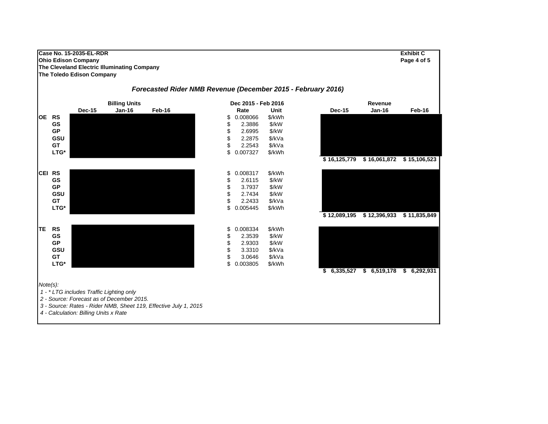#### **Case No. 15-2035-EL-RDR Exhibit C Ohio Edison Company Page 4 of 5 The Cleveland Electric Illuminating Company The Toledo Edison Company Dec-15 Jan-16 Feb-16 Rate Unit Dec-15 Jan-16 Feb-16**Feb-16 **OE RS** \$ 0.008066 \$/kWh **GS\$** 2.3886 \$/kW 2.3886 **GPP** \$2.6995 \$/kW 2.6995 \$/kW **GSUU** Service States of the Service States of the Service States of the Service States of the Service States of the Service States of the Service States of the Service States of the Service States of the Service States of t **GT** \$ 2.2543 \$/kVa **LTG\*** \$ 0.007327 \$/kWh **\$ 16,125,779 \$ 15,106,523 16,061,872 \$ CEI RS** \$ 0.008317 \$/kWh **GS** $\texttt{S} \hspace{1.5mm} \texttt{S} \hspace{1.5mm} \texttt{2.6115} \hspace{1.5mm} \texttt{S}/\texttt{k} \texttt{W}$ 2.6115 \$/kW **GPP** \$ 3.7937 \$/kW 3.7937 **GSUU** Secondary State of the Secondary State of the Secondary State of the Secondary State of the Secondary State o 2.7434 \$/kW **GT** \$ 2.2433 \$/kVa **LTG\*** \$ 0.005445 \$/kWh **\$ 12,089,195 \$ 11,835,849 12,396,933 \$ TE RS** \$ 0.008334 \$/kWh **GS** $\texttt{S}$  and the state of the state of the state  $\texttt{S}$  and the state of the state  $\texttt{S}$  and the state  $\texttt{S}$  and the state  $\texttt{S}$  2.3539 **GPP** \$2.9303 \$/kW 2.9303 \$/kW **GSUU** Service States of the Service States of the Service States of the Service States of the Service States of the Service States of the Service States of the Service States of the Service States of the Service States of t **GT** \$ 3.0646 \$/kVa **LTG\*** \$ 0.003805 \$/kWh **\$ 6,335,527 \$ 6,519,178 \$ 6,292,931** *Note(s): 1 - \* LTG includes Traffic Lighting only 2 - Source: Forecast as of December 2015. 3 - Source: Rates - Rider NMB, Sheet 119, Effective July 1, 2015 Forecasted Rider NMB Revenue (December 2015 - February 2016)* **Billing Units Dec 2015 - Feb 2016 Revenue**

 *4 - Calculation: Billing Units x Rate*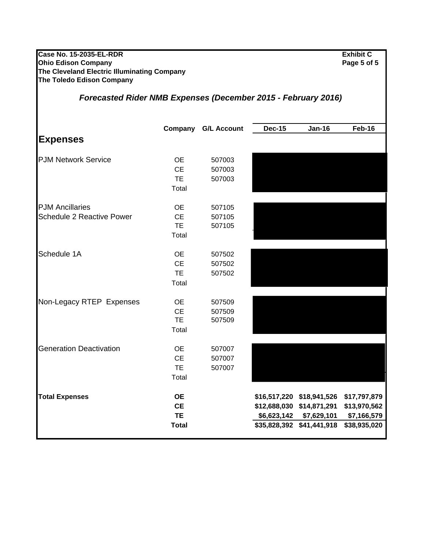| <b>Case No. 15-2035-EL-RDR</b><br><b>Ohio Edison Company</b><br>The Cleveland Electric Illuminating Company<br>The Toledo Edison Company |                                                     |                            |               |                                                                                                                | <b>Exhibit C</b><br>Page 5 of 5                             |  |  |
|------------------------------------------------------------------------------------------------------------------------------------------|-----------------------------------------------------|----------------------------|---------------|----------------------------------------------------------------------------------------------------------------|-------------------------------------------------------------|--|--|
| <b>Forecasted Rider NMB Expenses (December 2015 - February 2016)</b>                                                                     |                                                     |                            |               |                                                                                                                |                                                             |  |  |
|                                                                                                                                          | Company                                             | <b>G/L Account</b>         | <b>Dec-15</b> | <b>Jan-16</b>                                                                                                  | Feb-16                                                      |  |  |
| <b>Expenses</b>                                                                                                                          |                                                     |                            |               |                                                                                                                |                                                             |  |  |
| <b>PJM Network Service</b>                                                                                                               | <b>OE</b><br><b>CE</b><br><b>TE</b><br>Total        | 507003<br>507003<br>507003 |               |                                                                                                                |                                                             |  |  |
| <b>PJM Ancillaries</b><br><b>Schedule 2 Reactive Power</b>                                                                               | <b>OE</b><br><b>CE</b><br><b>TE</b><br>Total        | 507105<br>507105<br>507105 |               |                                                                                                                |                                                             |  |  |
| Schedule 1A                                                                                                                              | <b>OE</b><br><b>CE</b><br><b>TE</b><br>Total        | 507502<br>507502<br>507502 |               |                                                                                                                |                                                             |  |  |
| Non-Legacy RTEP Expenses                                                                                                                 | OE.<br><b>CE</b><br><b>TE</b><br>Total              | 507509<br>507509<br>507509 |               |                                                                                                                |                                                             |  |  |
| <b>Generation Deactivation</b>                                                                                                           | <b>OE</b><br>CE<br>TE<br>Total                      | 507007<br>507007<br>507007 |               |                                                                                                                |                                                             |  |  |
| <b>Total Expenses</b>                                                                                                                    | <b>OE</b><br><b>CE</b><br><b>TE</b><br><b>Total</b> |                            |               | \$16,517,220 \$18,941,526<br>\$12,688,030 \$14,871,291<br>\$6,623,142 \$7,629,101<br>\$35,828,392 \$41,441,918 | \$17,797,879<br>\$13,970,562<br>\$7,166,579<br>\$38,935,020 |  |  |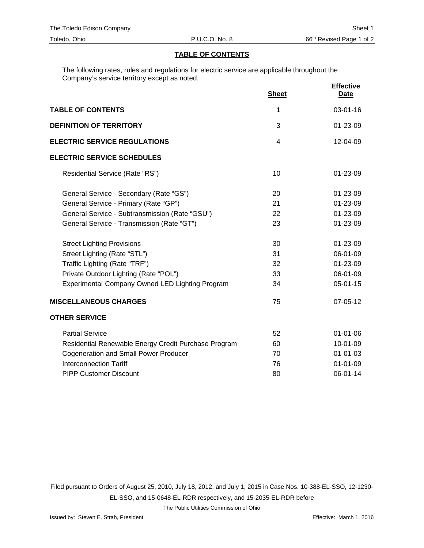#### **TABLE OF CONTENTS**

The following rates, rules and regulations for electric service are applicable throughout the Company's service territory except as noted.

|                                                      | <b>Sheet</b>   | <b>Effective</b><br><u>Date</u> |
|------------------------------------------------------|----------------|---------------------------------|
| <b>TABLE OF CONTENTS</b>                             | 1              | 03-01-16                        |
| <b>DEFINITION OF TERRITORY</b>                       | 3              | 01-23-09                        |
| <b>ELECTRIC SERVICE REGULATIONS</b>                  | $\overline{4}$ | 12-04-09                        |
| <b>ELECTRIC SERVICE SCHEDULES</b>                    |                |                                 |
| Residential Service (Rate "RS")                      | 10             | 01-23-09                        |
| General Service - Secondary (Rate "GS")              | 20             | $01 - 23 - 09$                  |
| General Service - Primary (Rate "GP")                | 21             | 01-23-09                        |
| General Service - Subtransmission (Rate "GSU")       | 22             | 01-23-09                        |
| General Service - Transmission (Rate "GT")           | 23             | 01-23-09                        |
| <b>Street Lighting Provisions</b>                    | 30             | 01-23-09                        |
| Street Lighting (Rate "STL")                         | 31             | 06-01-09                        |
| Traffic Lighting (Rate "TRF")                        | 32             | 01-23-09                        |
| Private Outdoor Lighting (Rate "POL")                | 33             | 06-01-09                        |
| Experimental Company Owned LED Lighting Program      | 34             | $05 - 01 - 15$                  |
| <b>MISCELLANEOUS CHARGES</b>                         | 75             | 07-05-12                        |
| <b>OTHER SERVICE</b>                                 |                |                                 |
| <b>Partial Service</b>                               | 52             | $01 - 01 - 06$                  |
| Residential Renewable Energy Credit Purchase Program | 60             | 10-01-09                        |
| <b>Cogeneration and Small Power Producer</b>         | 70             | $01 - 01 - 03$                  |
| <b>Interconnection Tariff</b>                        | 76             | 01-01-09                        |
| <b>PIPP Customer Discount</b>                        | 80             | 06-01-14                        |
|                                                      |                |                                 |

Filed pursuant to Orders of August 25, 2010, July 18, 2012, and July 1, 2015 in Case Nos. 10-388-EL-SSO, 12-1230- EL-SSO, and 15-0648-EL-RDR respectively, and 15-2035-EL-RDR before

The Public Utilities Commission of Ohio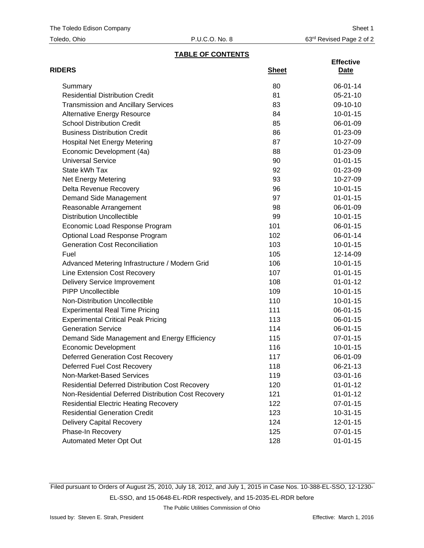| Toledo, Ohio |  |
|--------------|--|
|--------------|--|

## **TABLE OF CONTENTS**

| <b>RIDERS</b>                                          | <b>Sheet</b> | <b>Effective</b><br><u>Date</u> |
|--------------------------------------------------------|--------------|---------------------------------|
| Summary                                                | 80           | 06-01-14                        |
| <b>Residential Distribution Credit</b>                 | 81           | $05 - 21 - 10$                  |
| <b>Transmission and Ancillary Services</b>             | 83           | 09-10-10                        |
| <b>Alternative Energy Resource</b>                     | 84           | $10-01-15$                      |
| <b>School Distribution Credit</b>                      | 85           | 06-01-09                        |
| <b>Business Distribution Credit</b>                    | 86           | 01-23-09                        |
| <b>Hospital Net Energy Metering</b>                    | 87           | 10-27-09                        |
| Economic Development (4a)                              | 88           | 01-23-09                        |
| <b>Universal Service</b>                               | 90           | $01 - 01 - 15$                  |
| State kWh Tax                                          | 92           | 01-23-09                        |
| Net Energy Metering                                    | 93           | 10-27-09                        |
| Delta Revenue Recovery                                 | 96           | $10 - 01 - 15$                  |
| Demand Side Management                                 | 97           | $01 - 01 - 15$                  |
| Reasonable Arrangement                                 | 98           | 06-01-09                        |
| <b>Distribution Uncollectible</b>                      | 99           | $10-01-15$                      |
| Economic Load Response Program                         | 101          | 06-01-15                        |
| Optional Load Response Program                         | 102          | 06-01-14                        |
| <b>Generation Cost Reconciliation</b>                  | 103          | $10-01-15$                      |
| Fuel                                                   | 105          | 12-14-09                        |
| Advanced Metering Infrastructure / Modern Grid         | 106          | $10-01-15$                      |
| Line Extension Cost Recovery                           | 107          | $01 - 01 - 15$                  |
| Delivery Service Improvement                           | 108          | $01 - 01 - 12$                  |
| <b>PIPP Uncollectible</b>                              | 109          | $10-01-15$                      |
| Non-Distribution Uncollectible                         | 110          | $10-01-15$                      |
| <b>Experimental Real Time Pricing</b>                  | 111          | 06-01-15                        |
| <b>Experimental Critical Peak Pricing</b>              | 113          | 06-01-15                        |
| <b>Generation Service</b>                              | 114          | $06 - 01 - 15$                  |
| Demand Side Management and Energy Efficiency           | 115          | 07-01-15                        |
| <b>Economic Development</b>                            | 116          | $10-01-15$                      |
| <b>Deferred Generation Cost Recovery</b>               | 117          | 06-01-09                        |
| Deferred Fuel Cost Recovery                            | 118          | 06-21-13                        |
| Non-Market-Based Services                              | 119          | 03-01-16                        |
| <b>Residential Deferred Distribution Cost Recovery</b> | 120          | $01 - 01 - 12$                  |
| Non-Residential Deferred Distribution Cost Recovery    | 121          | $01 - 01 - 12$                  |
| <b>Residential Electric Heating Recovery</b>           | 122          | 07-01-15                        |
| <b>Residential Generation Credit</b>                   | 123          | $10-31-15$                      |
| <b>Delivery Capital Recovery</b>                       | 124          | 12-01-15                        |
| Phase-In Recovery                                      | 125          | 07-01-15                        |
| Automated Meter Opt Out                                | 128          | $01 - 01 - 15$                  |

Filed pursuant to Orders of August 25, 2010, July 18, 2012, and July 1, 2015 in Case Nos. 10-388-EL-SSO, 12-1230- EL-SSO, and 15-0648-EL-RDR respectively, and 15-2035-EL-RDR before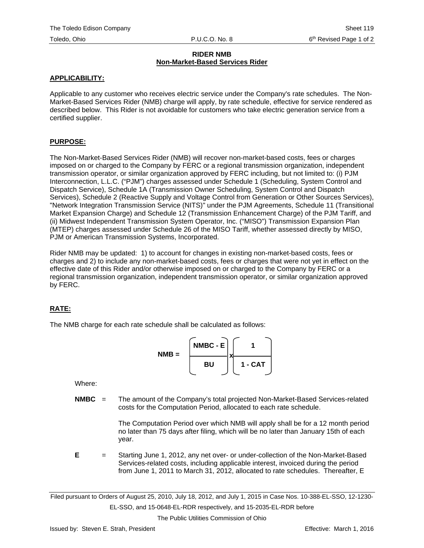#### **RIDER NMB Non-Market-Based Services Rider**

#### **APPLICABILITY:**

Applicable to any customer who receives electric service under the Company's rate schedules. The Non-Market-Based Services Rider (NMB) charge will apply, by rate schedule, effective for service rendered as described below. This Rider is not avoidable for customers who take electric generation service from a certified supplier.

#### **PURPOSE:**

The Non-Market-Based Services Rider (NMB) will recover non-market-based costs, fees or charges imposed on or charged to the Company by FERC or a regional transmission organization, independent transmission operator, or similar organization approved by FERC including, but not limited to: (i) PJM Interconnection, L.L.C. ("PJM") charges assessed under Schedule 1 (Scheduling, System Control and Dispatch Service), Schedule 1A (Transmission Owner Scheduling, System Control and Dispatch Services), Schedule 2 (Reactive Supply and Voltage Control from Generation or Other Sources Services), "Network Integration Transmission Service (NITS)" under the PJM Agreements, Schedule 11 (Transitional Market Expansion Charge) and Schedule 12 (Transmission Enhancement Charge) of the PJM Tariff, and (ii) Midwest Independent Transmission System Operator, Inc. ("MISO") Transmission Expansion Plan (MTEP) charges assessed under Schedule 26 of the MISO Tariff, whether assessed directly by MISO, PJM or American Transmission Systems, Incorporated.

Rider NMB may be updated: 1) to account for changes in existing non-market-based costs, fees or charges and 2) to include any non-market-based costs, fees or charges that were not yet in effect on the effective date of this Rider and/or otherwise imposed on or charged to the Company by FERC or a regional transmission organization, independent transmission operator, or similar organization approved by FERC.

## **RATE:**

The NMB charge for each rate schedule shall be calculated as follows:

$$
NMB = \begin{bmatrix} \text{NMBC} - \text{E} \\ \text{BU} \end{bmatrix} \times \begin{bmatrix} 1 \\ 1 - \text{CAT} \end{bmatrix}
$$

Where:

**NMBC** = The amount of the Company's total projected Non-Market-Based Services-related costs for the Computation Period, allocated to each rate schedule.

> The Computation Period over which NMB will apply shall be for a 12 month period no later than 75 days after filing, which will be no later than January 15th of each year.

**E** = Starting June 1, 2012, any net over- or under-collection of the Non-Market-Based Services-related costs, including applicable interest, invoiced during the period from June 1, 2011 to March 31, 2012, allocated to rate schedules. Thereafter, E

Filed pursuant to Orders of August 25, 2010, July 18, 2012, and July 1, 2015 in Case Nos. 10-388-EL-SSO, 12-1230- EL-SSO, and 15-0648-EL-RDR respectively, and 15-2035-EL-RDR before

The Public Utilities Commission of Ohio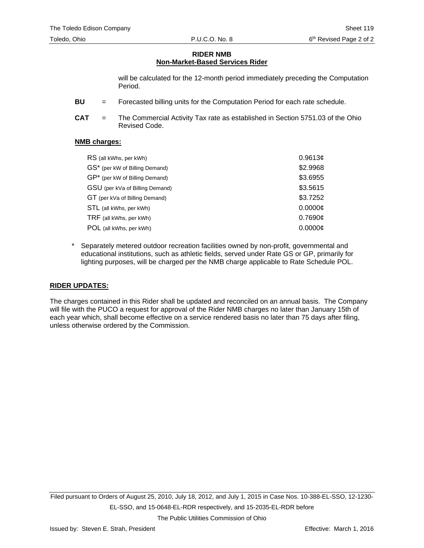## **RIDER NMB Non-Market-Based Services Rider**

will be calculated for the 12-month period immediately preceding the Computation Period.

- **BU** = Forecasted billing units for the Computation Period for each rate schedule.
- **CAT** = The Commercial Activity Tax rate as established in Section 5751.03 of the Ohio Revised Code.

#### **NMB charges:**

| RS (all kWhs, per kWh)          | 0.9613¢  |
|---------------------------------|----------|
| GS* (per kW of Billing Demand)  | \$2.9968 |
| GP* (per kW of Billing Demand)  | \$3.6955 |
| GSU (per kVa of Billing Demand) | \$3.5615 |
| GT (per kVa of Billing Demand)  | \$3.7252 |
| STL (all kWhs, per kWh)         | 0.0000c  |
| TRF (all kWhs, per kWh)         | 0.7690c  |
| POL (all kWhs, per kWh)         | 0.0000c  |

Separately metered outdoor recreation facilities owned by non-profit, governmental and educational institutions, such as athletic fields, served under Rate GS or GP, primarily for lighting purposes, will be charged per the NMB charge applicable to Rate Schedule POL.

## **RIDER UPDATES:**

The charges contained in this Rider shall be updated and reconciled on an annual basis. The Company will file with the PUCO a request for approval of the Rider NMB charges no later than January 15th of each year which, shall become effective on a service rendered basis no later than 75 days after filing, unless otherwise ordered by the Commission.